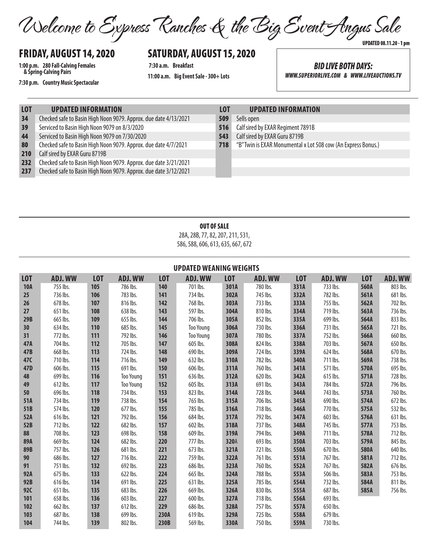Welcome to Express Ranches & the Big Event Angus Sale UPDATED 08.11.20 - 1 pm

# FRIDAY, AUGUST 14, 2020

**1:00 p.m. 280 Fall-Calving Females & Spring-Calving Pairs**

**7:30 p.m. Country Music Spectacular**

## SATURDAY, AUGUST 15, 2020

**7:30 a.m. Breakfast 11:00 a.m. Big Event Sale - 300+ Lots**

*BID LIVE BOTH DAYS: WWW.SUPERIORLIVE.COM & WWW.LIVEAUCTIONS.TV*

- 34 Checked safe to Basin High Noon 9079. Approx. due date 4/13/2021
- 39 Serviced to Basin High Noon 9079 on 8/3/2020
- 44 Serviced to Basin High Noon 9079 on 7/30/2020
- 80 Checked safe to Basin High Noon 9079. Approx. due date 4/7/2021
- 210 Calf sired by EXAR Guru 8719B
- 232 Checked safe to Basin High Noon 9079. Approx. due date 3/21/2021
- 237 Checked safe to Basin High Noon 9079. Approx. due date 3/12/2021

#### **LOT UPDATED INFORMATION LOT UPDATED INFORMATION**

- 509 Sells open
- 516 Calf sired by EXAR Regiment 7891B
- 543 Calf sired by EXAR Guru 8719B
- 718 "B" Twin is EXAR Monumental x Lot 508 cow (An Express Bonus.)

### OUT OF SALE

28A, 28B, 77, 82, 207, 211, 531, 586, 588, 606, 613, 635, 667, 672

| <b>UPDATED WEANING WEIGHTS</b> |                |                  |                  |            |                  |            |                |            |                |            |                |
|--------------------------------|----------------|------------------|------------------|------------|------------------|------------|----------------|------------|----------------|------------|----------------|
| <b>LOT</b>                     | <b>ADJ. WW</b> | L <sub>0</sub> T | <b>ADJ. WW</b>   | <b>LOT</b> | <b>ADJ. WW</b>   | <b>LOT</b> | <b>ADJ. WW</b> | <b>LOT</b> | <b>ADJ. WW</b> | <b>LOT</b> | <b>ADJ. WW</b> |
| <b>10A</b>                     | 755 lbs.       | 105              | 786 lbs.         | 140        | 701 lbs.         | 301A       | 780 lbs.       | 331A       | 733 lbs.       | 560A       | 803 lbs.       |
| 25                             | 736 lbs.       | 106              | 783 lbs.         | 141        | 734 lbs.         | 302A       | 745 lbs.       | 332A       | 782 lbs.       | 561A       | 681 lbs.       |
| 26                             | 678 lbs.       | 107              | 816 lbs.         | 142        | 768 lbs.         | 303A       | 733 lbs.       | 333A       | 755 lbs.       | 562A       | 702 lbs.       |
| 27                             | 651 lbs.       | 108              | 638 lbs.         | 143        | 597 lbs.         | 304A       | 810 lbs.       | 334A       | 719 lbs.       | 563A       | 736 lbs.       |
| 29B                            | 665 lbs.       | 109              | 655 lbs.         | 144        | 706 lbs.         | 305A       | 852 lbs.       | 335A       | 699 lbs.       | 564A       | 833 lbs.       |
| 30                             | 634 lbs.       | 110              | 685 lbs.         | 145        | <b>Too Young</b> | 306A       | 730 lbs.       | 336A       | 731 lbs.       | 565A       | 721 lbs.       |
| 31                             | 772 lbs.       | 111              | 792 lbs.         | 146        | <b>Too Young</b> | 307A       | 780 lbs.       | 337A       | 752 lbs.       | 566A       | 660 lbs.       |
| 47A                            | 704 lbs.       | 112              | 705 lbs.         | 147        | 605 lbs.         | 308A       | 824 lbs.       | 338A       | 703 lbs.       | 567A       | 650 lbs.       |
| 47B                            | 668 lbs.       | 113              | 724 lbs.         | 148        | 690 lbs.         | 309A       | 724 lbs.       | 339A       | 624 lbs.       | 568A       | 670 lbs.       |
| 47C                            | 710 lbs.       | 114              | 716 lbs.         | 149        | 632 lbs.         | 310A       | 782 lbs.       | 340A       | 711 lbs.       | 569A       | 738 lbs.       |
| 47D                            | 606 lbs.       | 115              | 691 lbs.         | 150        | 606 lbs.         | 311A       | 760 lbs.       | 341A       | 571 lbs.       | 570A       | 695 lbs.       |
| 48                             | 699 lbs.       | 116              | <b>Too Young</b> | 151        | 636 lbs.         | 312A       | 620 lbs.       | 342A       | 615 lbs.       | 571A       | 728 lbs.       |
| 49                             | 612 lbs.       | 117              | <b>Too Young</b> | 152        | 605 lbs.         | 313A       | 691 lbs.       | 343A       | 784 lbs.       | 572A       | 796 lbs.       |
| 50                             | 696 lbs.       | 118              | 734 lbs.         | 153        | 823 lbs.         | 314A       | 728 lbs.       | 344A       | 743 lbs.       | 573A       | 760 lbs.       |
| 51A                            | 734 lbs.       | 119              | 738 lbs.         | 154        | 765 lbs.         | 315A       | 706 lbs.       | 345A       | 690 lbs.       | 574A       | 672 lbs.       |
| 51B                            | 574 lbs.       | 120              | 677 lbs.         | 155        | 785 lbs.         | 316A       | 718 lbs.       | 346A       | 770 lbs.       | 575A       | 532 lbs.       |
| 52A                            | 616 lbs.       | 121              | 792 lbs.         | 156        | 684 lbs.         | 317A       | 792 lbs.       | 347A       | 603 lbs.       | 576A       | 631 lbs.       |
| 52B                            | 712 lbs.       | 122              | 682 lbs.         | 157        | 602 lbs.         | 318A       | 737 lbs.       | 348A       | 745 lbs.       | 577A       | 753 lbs.       |
| 88                             | 708 lbs.       | 123              | 698 lbs.         | 158        | 609 lbs.         | 319A       | 794 lbs.       | 349A       | 711 lbs.       | 578A       | 712 lbs.       |
| 89A                            | 669 lbs.       | 124              | 682 lbs.         | 220        | 777 lbs.         | 320A       | 693 lbs.       | 350A       | 703 lbs.       | 579A       | 845 lbs.       |
| <b>89B</b>                     | 757 lbs.       | 126              | 681 lbs.         | 221        | 673 lbs.         | 321A       | 721 lbs.       | 550A       | 670 lbs.       | 580A       | 640 lbs.       |
| 90                             | 686 lbs.       | 127              | 716 lbs.         | 222        | 759 lbs.         | 322A       | 761 lbs.       | 551A       | 767 lbs.       | 581A       | 712 lbs.       |
| 91                             | 751 lbs.       | 132              | 692 lbs.         | 223        | 686 lbs.         | 323A       | 760 lbs.       | 552A       | 767 lbs.       | 582A       | 676 lbs.       |
| 92A                            | 675 lbs.       | 133              | 622 lbs.         | 224        | 665 lbs.         | 324A       | 788 lbs.       | 553A       | 506 lbs.       | 583A       | 753 lbs.       |
| 92B                            | 616 lbs.       | 134              | 691 lbs.         | 225        | 631 lbs.         | 325A       | 785 lbs.       | 554A       | 732 lbs.       | 584A       | 811 lbs.       |
| <b>92C</b>                     | 651 lbs.       | 135              | 683 lbs.         | 226        | 669 lbs.         | 326A       | 830 lbs.       | 555A       | 687 lbs.       | 585A       | 756 lbs.       |
| 101                            | 658 lbs.       | 136              | 603 lbs.         | 227        | 600 lbs.         | 327A       | 718 lbs.       | 556A       | 693 lbs.       |            |                |
| 102                            | 662 lbs.       | 137              | 612 lbs.         | 229        | 686 lbs.         | 328A       | 757 lbs.       | 557A       | 650 lbs.       |            |                |
| 103                            | 687 lbs.       | 138              | 699 lbs.         | 230A       | 619 lbs.         | 329A       | 725 lbs.       | 558A       | 679 lbs.       |            |                |
| 104                            | 744 lbs.       | 139              | 802 lbs.         | 230B       | 569 lbs.         | 330A       | 750 lbs.       | 559A       | 730 lbs.       |            |                |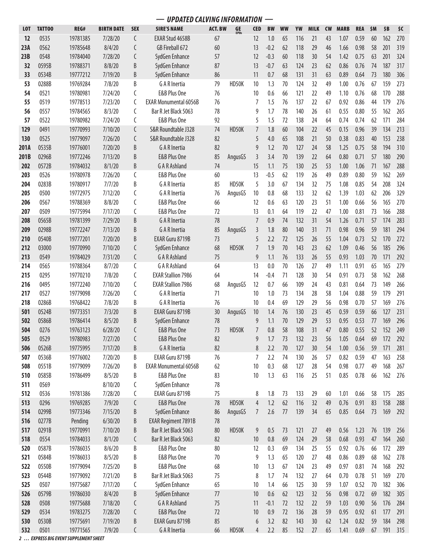|            | <b>UPDATED CALVING INFORMATION</b> |                      |                    |            |                                      |                |                   |                |               |           |            |             |           |              |              |          |            |            |
|------------|------------------------------------|----------------------|--------------------|------------|--------------------------------------|----------------|-------------------|----------------|---------------|-----------|------------|-------------|-----------|--------------|--------------|----------|------------|------------|
| <b>LOT</b> | <b>TATTOO</b>                      | REG#                 | <b>BIRTH DATE</b>  | <b>SEX</b> | <b>SIRE'S NAME</b>                   | <b>ACT. BW</b> | GE<br><b>EPDs</b> | <b>CED</b>     | <b>BW</b>     | <b>WW</b> | YW         | <b>MILK</b> | <b>CW</b> | <b>MARB</b>  | <b>REA</b>   | \$M      | \$B        | \$C        |
| 12         | 0535                               | 19781385             | 7/28/20            | C          | EXAR Stud 4658B                      | 67             |                   | 12             | 1.0           | 65        | 116        | 21          | 43        | 1.07         | 0.59         | 60       | 162        | 270        |
| 23A        | 0562                               | 19785648             | 8/4/20             | C          | GB Fireball 672                      | 60             |                   | 13             | $-0.2$        | 62        | 118        | 29          | 46        | 1.66         | 0.98         | 58       | 201        | 319        |
| 23B        | 0548                               | 19784040             | 7/28/20            | C          | SydGen Enhance                       | 57             |                   | 12             | $-0.3$        | 60        | 118        | 30          | 54        | 1.42         | 0.75         | 63       | 201        | 324        |
| 32         | 0595B                              | 19788371             | 8/8/20             | B          | SydGen Enhance                       | 87             |                   | 13             | $-0.7$        | 63        | 124        | 23          | 62        | 0.86         | 0.76         | 74       | 187        | 317        |
| 33         | 0534B                              | 19777212             | 7/19/20            | B          | SydGen Enhance                       | 86             |                   | 11             | 0.7           | 68        | 131        | 31          | 63        | 0.89         | 0.64         | 73       | 180        | 306        |
| 53         | 0288B                              | 19769284             | 7/8/20             | B          | G A R Inertia                        | 79             | HD50K             | 10             | 1.3           | 70        | 124        | 32          | 49        | 1.00         | 0.76         | 67       | 159        | 273        |
| 54         | 0521                               | 19780981             | 7/24/20            | C          | E&B Plus One                         | 76             |                   | 10             | 0.6           | 66        | 121        | 22          | 49        | 1.10         | 0.76         | 68       | 170        | 288        |
| 55         | 0519                               | 19778513             | 7/23/20            | C          | <b>EXAR Monumental 6056B</b>         | 76             |                   | 7              | 1.5           | 76        | 137        | 22          | 67        | 0.92         | 0.86         | 44       | 179        | 276        |
| 56         | 0557                               | 19784565             | 8/3/20             | C          | Bar R Jet Black 5063                 | 78             |                   | 9              | 1.7           | 78        | 140        | 26          | 61        | 0.55         | 0.80         | 55       | 162        | 265        |
| 57         | 0522                               | 19780982             | 7/24/20            | C          | E&B Plus One                         | 92             |                   | 5              | 1.5           | 72        | 138        | 24          | 64        | 0.74         | 0.74         | 62       | 171        | 284        |
| 129        | 0491                               | 19770993             | 7/10/20            | C          | S&R Roundtable J328                  | 74             | HD50K             | 7              | 1.8           | 60        | 104        | 22          | 45        | 0.15         | 0.96         | 39       | 134        | 213        |
| 130        | 0525                               | 19779097             | 7/26/20            | C          | S&R Roundtable J328                  | 82             |                   | 5              | 4.0           | 65        | 108        | 21          | 50        | 0.38         | 0.83         | 40       | 153        | 238        |
| 201A       | 0535B                              | 19776001             | 7/20/20            | B          | G A R Inertia                        | 82             |                   | 9              | 1.2           | 70        | 127        | 24          | 58        | 1.25         | 0.75         | 58       | 194        | 310        |
| 201B       | 0296B                              | 19772246             | 7/13/20            | B          | E&B Plus One                         | 85             | AngusGS           | 3              | 3.4           | 70        | 139        | 22          | 64        | 0.80         | 0.71         | 57       | 180        | 290        |
| 202        | 0572B                              | 19784032             | 8/1/20             | B          | <b>GAR Ashland</b>                   | 74             |                   | 15             | 1.1           | 75        | 130        | 25          | 53        | 1.00         | 1.06         | 71       | 167        | 288        |
| 203        | 0526                               | 19780978             | 7/26/20            | C          | E&B Plus One                         | 60             |                   | 13             | $-0.5$        | 62        | 119        | 26          | 49        | 0.89         | 0.80         | 59       | 162        | 269        |
| 204        | 0283B                              | 19780917             | 7/7/20             | B          | G A R Inertia                        | 85             | HD50K             | 5              | 3.0           | 67        | 134        | 32          | 75        | 1.08         | 0.85         | 54       | 208        | 324        |
| 205        | 0500                               | 19772975             | 7/12/20            | C          | G A R Inertia                        | 76             | AngusGS           | 10             | 0.8           | 68        | 133        | 32          | 62        | 1.39         | 1.03         | 62       | 206        | 329        |
| 206        | 0567                               | 19788369             | 8/8/20             | C          | E&B Plus One                         | 66             |                   | 12             | 0.6           | 63        | 120        | 23          | 51        | 1.00         | 0.66         | 56       | 165        | 270        |
| 207        | 0509                               | 19775994             | 7/17/20            | C          | E&B Plus One                         | 72             |                   | 13             | 0.1           | 64        | 119        | 22          | 47        | 1.00         | 0.81         | 73       | 166        | 288        |
| 208        | 0565B                              | 19781399             | 7/29/20            | B          | <b>GARInertia</b>                    | 78             |                   | $\overline{7}$ | 0.9           | 74        | 132        | 31          | 54        | 1.26         | 0.71         | 57       | 174        | 283        |
| 209        | 0298B                              | 19772247             | 7/13/20            | B          | <b>GAR</b> Inertia                   | 85             | AngusGS           | 3              | 1.8           | 80        | 140        | 31          | 71        | 0.98         | 0.96         | 59       | 181        | 294        |
| 210        | 0540B                              | 19777201             | 7/20/20            | B          | EXAR Guru 8719B                      | 73             |                   | 5              | 2.2           | 72        | 125        | 26          | 55        | 1.04         | 0.73         | 52       | 170        | 272        |
| 212        | 03000                              | 19770990             | 7/10/20            | C          | SydGen Enhance                       | 68             | HD50K             | $\overline{7}$ | 1.9           | 70        | 143        | 23          | 62        | 1.09         | 0.46         | 56       | 185        | 296        |
| 213        | 0549                               | 19784029             | 7/31/20            | C          | <b>GAR Ashland</b>                   | 75             |                   | 9              | 1.1           | 76        | 133        | 26          | 55        | 0.93         | 1.03         | 70       | 171        | 292        |
| 214        | 0565                               | 19788364             | 8/7/20             | C          | <b>GAR Ashland</b>                   | 64             |                   | 13             | 0.0           | 70        | 126        | 27          | 49        | 1.11         | 0.91         | 65       | 165        | 279        |
| 215        | 0295                               | 19770210             | 7/8/20             | C          | <b>EXAR Stallion 7986</b>            | 64             |                   | 14             | $-0.4$        | 71        | 128        | 30          | 54        | 0.91         | 0.73         | 58       | 162        | 268        |
| 216        | 0495                               | 19772240             | 7/10/20            | C          | <b>EXAR Stallion 7986</b>            | 68             | AngusGS           | 12             | 0.7           | 66        | 109        | 24          | 43        | 0.81         | 0.64         | 73       | 149        | 266        |
| 217        | 0527                               | 19779098             | 7/26/20            | C          | G A R Inertia                        | 71             |                   | 10             | 1.0           | 73        | 134        | 28          | 58        | 1.04         | 0.88         | 59       | 179        | 291        |
| 218        | 0286B                              | 19768422             | 7/8/20             | B          | G A R Inertia                        | 76             |                   | 10             | 0.4           | 69        | 129        | 29          | 56        | 0.98         | 0.70         | 57       | 169        | 276        |
| 501        | 0524B                              | 19773351             | 7/3/20             | B          | EXAR Guru 8719B                      | 30             | AngusGS           | 10             | 1.4           | 76        | 130        | 23          | 45        | 0.59         | 0.59         | 66       | 127        | 231        |
| 502        | 0586B                              | 19786414             | 8/5/20             | B          | SydGen Enhance                       | 78             |                   | 9              | 1.1           | 70        | 129        | 29          | 53        | 0.95         | 0.53         | 77       | 169        | 296        |
| 504        | 0276                               | 19763123             | 6/28/20            | C          | E&B Plus One                         | 73             | HD50K             | $\overline{7}$ | $0.8\,$       | 58        | 108        | 31          | 47        | 0.80         | 0.55 52      |          | 152        | 249        |
| 505        | 0529                               | 19780983             | 7/27/20            | C          | <b>E&amp;B Plus One</b>              | 82             |                   | 9              | 1.7           | 73        | 132        | 23          | 56        | 1.05         | 0.64         | 69       | 172        | 292        |
| 506        | 0526B                              | 19775995             | 7/17/20            | B          | <b>GAR</b> Inertia                   | 82             |                   | 8              | 2.2           | 70        | 127        | 30          | 54        | 1.00         | 0.56         | 59       | 171        | 281        |
| 507        | 0536B                              | 19776002             | 7/20/20            | B          | EXAR Guru 8719B                      | 76             |                   | 7              | 2.2           | 74        | 130        | 26          | 57        | 0.82         | 0.59         | 47       | 163        | 258        |
| 508        | 0551B                              | 19779099             | 7/26/20            | B          | <b>EXAR Monumental 6056B</b>         | 62             |                   | 10             | 0.3           | 68        | 127        | 28          | 54        | 0.98         | 0.77         | 49       | 168        | 267        |
| 510        | 0585B                              | 19786499             | 8/5/20             | B          | E&B Plus One                         | 83             |                   | 10             | 1.3           | 63        | 116        | 25          | 51        | 0.85         | 0.78         | 66       | 162        | 276        |
| 511        | 0569                               |                      | 8/10/20            | C          | SydGen Enhance                       | 78             |                   |                |               |           |            |             |           |              |              |          |            |            |
| 512        | 0536                               | 19781386             | 7/28/20            | C          | EXAR Guru 8719B                      | 75             |                   | 8              | 1.8           | 73        | 133        | 29          | 60        | 1.01         | 0.66         | 58       | 175        | 285        |
| 513        | 0296                               | 19769285             | 7/9/20             | C          | E&B Plus One                         | 78             | HD50K             | 4              | 1.2           | 62        | 116        | 32          | 49        | 0.76         | 0.91         | 83       | 158        | 288        |
| 514        | 0299B                              | 19773346             | 7/15/20            | B          | SydGen Enhance                       | 86             | AngusGS           | $\overline{7}$ | 2.6           | 77        | 139        | 34          | 65        | 0.85         | 0.64         | 73       | 169        | 292        |
| 516        | 0277B                              | Pending              | 6/30/20            | B          | <b>EXAR Regiment 7891B</b>           | 78             |                   |                |               |           |            |             |           |              |              |          |            |            |
| 517        | 0291B                              | 19770991             | 7/10/20            | B          | Bar R Jet Black 5063                 | 80             | HD50K             | 9              | 0.5           | 73        | 121        | 27          | 49        | 0.56         | 1.23         | 76       | 139        | 256        |
| 518        | 0554                               | 19784033             | 8/1/20             | C          | Bar R Jet Black 5063                 | 82             |                   | 10             | $0.8\,$       | 69        | 124        | 29          | 58        | 0.68         | 0.93         | 47       | 164        | 260        |
| 520        | 0587B                              | 19786035             | 8/6/20             | B          | E&B Plus One                         | 80             |                   | 12             | 0.3           | 69        | 134        | 25          | 55        | 0.92         | 0.76         | 66       | 172        | 289        |
| 521        | 0584B                              | 19786033             | 8/5/20             | B          | E&B Plus One                         | 70             |                   | 9              | 1.3           | 65        | 120        | 27          | 48        | 0.86         | 0.89         | 68       | 162        | 278        |
| 522        | 0550B                              | 19779094             | 7/25/20            | B          | E&B Plus One                         | 68             |                   | 10             | 1.3           | 67        | 124        | 23          | 49        | 0.97         | 0.81         | 74       | 168        | 292        |
| 523        | 0544B                              | 19779092             | 7/21/20            | B          | Bar R Jet Black 5063                 | 75             |                   | 8              | 1.7           | 74        | 132        | 27          | 64        | 0.70         | 0.78         | 51       | 169        | 270        |
| 525        | 0507                               | 19775687             | 7/17/20            | C          | SydGen Enhance                       | 65             |                   | 10             | 1.4           | 66        | 125        | 30          | 59        | 1.07         | 0.52         | 70       | 182        | 306        |
| 526        | 0579B<br>0508                      | 19786030             | 8/4/20             | B          | SydGen Enhance<br><b>GAR Ashland</b> | $77\,$         |                   | 10             | 0.6           | 62        | 123        | 32          | 56        | 0.98         | 0.72<br>0.90 | 69       | 182<br>176 | 305<br>284 |
| 528        | 0534                               | 19775688<br>19783275 | 7/18/20<br>7/28/20 | C          | E&B Plus One                         | 75<br>72       |                   | 11<br>10       | $-0.1$<br>0.9 | 72<br>72  | 132<br>136 | 22<br>28    | 59<br>59  | 1.03<br>0.95 | 0.92         | 56<br>61 | 177        | 291        |
| 529<br>530 | 0530B                              | 19775691             | 7/19/20            | C<br>B     | EXAR Guru 8719B                      | 85             |                   | 6              | 3.2           | 82        | 143        | 30          | 62        | 1.24         | 0.82         | 59       | 184        | 298        |
| 532        | 0501                               | 19771565             | 7/9/20             | C          | G A R Inertia                        | 66             | HD50K             | 4              | 2.2           | 85        | 152        | 27          | 65        | 1.41         | 0.69         | 67       | 191        | 315        |
|            |                                    |                      |                    |            |                                      |                |                   |                |               |           |            |             |           |              |              |          |            |            |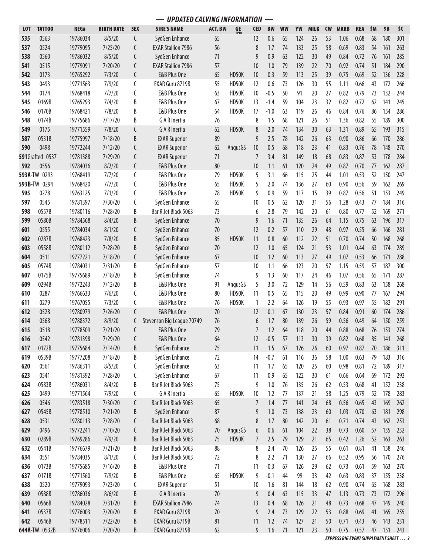|            |                         |          |                   |                      | <b>UPDATED CALVING INFORMATION</b> |                |                          |                |           |           |     |             |           |             |            |     |     |     |
|------------|-------------------------|----------|-------------------|----------------------|------------------------------------|----------------|--------------------------|----------------|-----------|-----------|-----|-------------|-----------|-------------|------------|-----|-----|-----|
| <b>LOT</b> | <b>TATTOO</b>           | REG#     | <b>BIRTH DATE</b> | <b>SEX</b>           | <b>SIRE'S NAME</b>                 | <b>ACT. BW</b> | <b>GE</b><br><b>EPDs</b> | <b>CED</b>     | <b>BW</b> | <b>WW</b> | YW  | <b>MILK</b> | <b>CW</b> | <b>MARB</b> | <b>REA</b> | \$M | \$B | \$C |
| 535        | 0563                    | 19786034 | 8/5/20            | C                    | SydGen Enhance                     | 65             |                          | 12             | 0.6       | 65        | 124 | 26          | 53        | 1.06        | 0.68       | 68  | 180 | 301 |
| 537        | 0524                    | 19779095 | 7/25/20           | C                    | <b>EXAR Stallion 7986</b>          | 56             |                          | 8              | 1.7       | 74        | 133 | 25          | 58        | 0.69        | 0.83       | 54  | 161 | 263 |
| 538        | 0560                    | 19786032 | 8/5/20            | C                    | SydGen Enhance                     | 71             |                          | 9              | 0.9       | 63        | 122 | 30          | 49        | 0.84        | 0.72       | 76  | 161 | 285 |
| 541        | 0515                    | 19779091 | 7/20/20           | C                    | <b>EXAR Stallion 7986</b>          | 57             |                          | 10             | 1.0       | 79        | 139 | 22          | 70        | 0.92        | 0.74       | 51  | 184 | 290 |
| 542        | 0173                    | 19765292 | 7/3/20            | C                    | <b>E&amp;B Plus One</b>            | 65             | HD50K                    | 10             | 0.3       | 59        | 113 | 25          | 39        | 0.75        | 0.69       | 52  | 136 | 228 |
| 543        | 0493                    | 19771563 | 7/9/20            | $\boldsymbol{\zeta}$ | EXAR Guru 8719B                    | 55             | HD50K                    | 12             | 0.6       | 73        | 126 | 30          | 55        | 1.11        | 0.66       | 43  | 172 | 266 |
| 544        | 0174                    | 19768418 | 7/7/20            | С                    | E&B Plus One                       | 63             | HD50K                    | 10             | $-0.5$    | 50        | 91  | 20          | 27        | 0.82        | 0.79       | 73  | 132 | 244 |
| 545        | 0169B                   | 19765293 | 7/4/20            | B                    | E&B Plus One                       | 67             | HD50K                    | 13             | $-1.4$    | 59        | 104 | 23          | 32        | 0.82        | 0.72       | 62  | 141 | 245 |
| 546        | 0170B                   | 19768421 | 7/8/20            | B                    | E&B Plus One                       | 64             | HD50K                    | 17             | $-1.0$    | 63        | 119 | 26          | 46        | 0.84        | 0.76       | 86  | 154 | 286 |
| 548        | 0174B                   | 19775686 | 7/17/20           | B                    | G A R Inertia                      | 76             |                          | 8              | 1.5       | 68        | 121 | 26          | 51        | 1.36        | 0.82       | 55  | 189 | 300 |
| 549        | 0175                    | 19771559 | 7/8/20            | C                    | <b>GARInertia</b>                  | 62             | HD50K                    | 8              | 2.0       | 74        | 134 | 30          | 63        | 1.31        | 0.89       | 65  | 193 | 315 |
| 587        | 0531B                   | 19775997 | 7/18/20           | B                    | <b>EXAR Superior</b>               | 89             |                          | 9              | 2.5       | 78        | 142 | 26          | 63        | 0.90        | 0.86       | 66  | 170 | 286 |
| 590        | 0498                    | 19772244 | 7/12/20           | C                    | <b>EXAR Superior</b>               | 62             | AngusGS                  | 10             | 0.5       | 68        | 118 | 23          | 41        | 0.83        | 0.76       | 78  | 148 | 270 |
|            | <b>591</b> Grafted 0537 | 19781388 | 7/29/20           | C                    | <b>EXAR Superior</b>               | 71             |                          | 7              | 3.4       | 81        | 149 | 18          | 68        | 0.83        | 0.87       | 53  | 178 | 284 |
| 592        | 0556                    | 19784036 | 8/2/20            | C                    | E&B Plus One                       | 80             |                          | 10             | 1.1       | 61        | 120 | 24          | 49        | 0.87        | 0.70       | 77  | 162 | 287 |
| 593A-TW    | 0293                    | 19768419 | 7/7/20            | C                    | E&B Plus One                       | 79             | HD50K                    | 5              | 3.1       | 66        | 115 | 25          | 44        | 1.01        | 0.53       | 52  | 150 | 247 |
|            | 593B-TW 0294            | 19768420 | 7/7/20            | C                    | E&B Plus One                       | 65             | HD50K                    | 5              | 2.0       | 74        | 136 | 27          | 60        | 0.90        | 0.56       | 59  | 162 | 269 |
| 595        | 0278                    | 19763125 | 7/1/20            | С                    | E&B Plus One                       | 78             | HD50K                    | 9              | 0.9       | 59        | 117 | 15          | 39        | 0.87        | 0.56       | 51  | 153 | 249 |
| 597        | 0545                    | 19781397 | 7/30/20           | С                    | SydGen Enhance                     | 65             |                          | 10             | 0.5       | 62        | 120 | 31          | 56        | 1.28        | 0.43       | 77  | 184 | 316 |
| 598        | 0557B                   | 19780116 | 7/28/20           | B                    | Bar R Jet Black 5063               | 73             |                          | 6              | 2.8       | 79        | 142 | 20          | 61        | 0.80        | 0.77       | 52  | 169 | 271 |
| 599        | 0580B                   | 19784568 | 8/4/20            | B                    | SydGen Enhance                     | 70             |                          | 9              | 1.6       | 71        | 135 | 26          | 64        | 1.15        | 0.75       | 63  | 196 | 317 |
| 601        | 0555                    | 19784034 | 8/1/20            | C                    | SydGen Enhance                     | $70\,$         |                          | 12             | 0.2       | 57        | 110 | 29          | 48        | 0.97        | 0.55       | 66  | 166 | 281 |
| 602        | 0287B                   | 19768423 | 7/8/20            | B                    | SydGen Enhance                     | 85             | HD50K                    | 11             | 0.8       | 60        | 112 | 22          | 51        | 0.70        | 0.74       | 50  | 168 | 268 |
| 603        | 0558B                   | 19780112 | 7/28/20           | B                    | SydGen Enhance                     | 70             |                          | 12             | 1.0       | 65        | 124 | 21          | 53        | 1.01        | 0.44       | 63  | 174 | 289 |
| 604        | 0511                    | 19777221 | 7/18/20           | C                    | SydGen Enhance                     | 67             |                          | 10             | 1.2       | 60        | 113 | 27          | 49        | 1.07        | 0.53       | 66  | 171 | 288 |
| 605        | 0574B                   | 19784031 | 7/31/20           | B                    | SydGen Enhance                     | 57             |                          | 10             | 1.1       | 66        | 123 | 20          | 57        | 1.15        | 0.59       | 57  | 187 | 300 |
| 607        | 0175B                   | 19775689 | 7/18/20           | B                    | SydGen Enhance                     | 74             |                          | 9              | 1.3       | 60        | 117 | 24          | 46        | 1.07        | 0.56       | 65  | 171 | 287 |
| 609        | 0294B                   | 19772243 | 7/12/20           | B                    | E&B Plus One                       | 91             | AngusGS                  | 5              | 3.0       | 72        | 129 | 14          | 56        | 0.59        | 0.83       | 63  | 158 | 268 |
| 610        | 0287                    | 19766633 | 7/6/20            | С                    | E&B Plus One                       | 80             | HD50K                    | 11             | 0.5       | 65        | 115 | 20          | 49        | 0.99        | 0.90       | 77  | 167 | 294 |
| 611        | 0279                    | 19767055 | 7/3/20            | C                    | E&B Plus One                       | 76             | HD50K                    | 1              | 2.2       | 64        | 126 | 19          | 55        | 0.93        | 0.97       | 55  | 182 | 291 |
| 612        | 0528                    | 19780979 | 7/26/20           | C                    | E&B Plus One                       | 70             |                          | 12             | 0.1       | 67        | 130 | 23          | 57        | 0.84        | 0.91       | 60  | 174 | 286 |
| 614        | 0568                    | 19788372 | 8/9/20            | C                    | Stevenson Big League 70749         | 76             |                          | 6              | 1.7       | 80        | 139 | 26          | 59        | 0.56        | 0.49       | 64  | 150 | 259 |
| 615        | 0518                    | 19778509 | 7/21/20           | C                    | <b>E&amp;B Plus One</b>            | 79             |                          | $\overline{7}$ | 1.2       | 64        | 118 | $20$        | 44        | 0.88        | 0.68       | 76  | 153 | 274 |
| 616        | 0542                    | 19781398 | 7/29/20           | C                    | E&B Plus One                       | 64             |                          | 12             | $-0.5$    | 57        | 113 | 30          | 39        | 0.82        | 0.68       | 85  | 141 | 268 |
| 617        | 0172B                   | 19775684 | 7/14/20           | B                    | SydGen Enhance                     | 75             |                          | 11             | 1.5       | 67        | 126 | 26          | 60        | 0.97        | 0.87       | 70  | 186 | 311 |
| 619        | 0539B                   | 19777208 | 7/18/20           | B                    | SydGen Enhance                     | 72             |                          | 14             | $-0.7$    | 61        | 116 | 36          | 58        | 1.00        | 0.63       | 79  | 183 | 316 |
| 620        | 0561                    | 19786311 | 8/5/20            | С                    | SydGen Enhance                     | 63             |                          | 11             | 1.7       | 65        | 120 | 25          | 60        | 0.98        | 0.81       | 72  | 189 | 317 |
| 623        | 0541                    | 19781392 | 7/28/20           | С                    | SydGen Enhance                     | 67             |                          | 11             | 0.9       | 65        | 122 | 30          | 61        | 0.66        | 0.64       | 69  | 172 | 292 |
| 624        | 0583B                   | 19786031 | 8/4/20            | B                    | Bar R Jet Black 5063               | 75             |                          | 9              | 1.0       | 76        | 135 | 26          | 62        | 0.53        | 0.68       | 41  | 152 | 238 |
| 625        | 0499                    | 19771564 | 7/9/20            | С                    | G A R Inertia                      | 65             | HD50K                    | 10             | 1.2       | 77        | 137 | 21          | 58        | 1.25        | 0.79       | 52  | 178 | 283 |
| 626        | 0546                    | 19783518 | 7/30/20           | C                    | Bar R Jet Black 5063               | 65             |                          |                | 1.4       | 77        | 141 | 24          | 68        | 0.56        | 0.65       | 43  | 169 | 262 |
| 627        | 0545B                   | 19778510 | 7/21/20           | B                    | SydGen Enhance                     | 87             |                          | 9              | 1.0       | 73        | 138 | 23          | 60        | 1.03        | 0.70       | 63  | 181 | 298 |
| 628        | 0531                    | 19780113 | 7/28/20           | C                    | Bar R Jet Black 5063               | 68             |                          | 8              | 1.7       | 80        | 142 | 20          | 61        | 0.71        | 0.74       | 43  | 162 | 253 |
| 629        | 0496                    | 19772241 | 7/10/20           | C                    | Bar R Jet Black 5063               | 70             | AngusGS                  | 6              | 0.6       | 61        | 104 | 22          | 38        | 0.73        | 0.60       | 57  | 135 | 232 |
| 630        | 0289B                   | 19769286 | 7/9/20            | B                    | Bar R Jet Black 5063               | 75             | HD50K                    | 7              | 2.5       | 79        | 129 | 21          | 65        | 0.42        | 1.26       | 52  | 163 | 263 |
| 632        | 0541B                   | 19776679 | 7/21/20           | В                    | Bar R Jet Black 5063               | 88             |                          | 8              | 2.4       | 70        | 126 | 25          | 55        | 0.61        | 0.81       | 41  | 158 | 246 |
| 634        | 0551                    | 19784035 | 8/1/20            | C                    | Bar R Jet Black 5063               | 72             |                          | 8              | 2.2       | 71        | 130 | 27          | 66        | 0.52        | 0.95       | 56  | 170 | 276 |
| 636        | 0173B                   | 19775685 | 7/16/20           | B                    | E&B Plus One                       | 71             |                          | 11             | $-0.3$    | 67        | 126 | 29          | 62        | 0.73        | 0.61       | 59  | 163 | 270 |
| 637        | 0171B                   | 19771560 | 7/9/20            | B                    | E&B Plus One                       | 65             | HD50K                    | 9              | $-0.1$    | 44        | 99  | 33          | 42        | 0.63        | 0.83       | 37  | 155 | 238 |
| 638        | 0520                    | 19779093 | 7/23/20           | С                    | <b>EXAR Superior</b>               | 51             |                          | 10             | 1.6       | 81        | 144 | 18          | 62        | 0.90        | 0.74       | 65  | 168 | 283 |
| 639        | 0588B                   | 19786036 | 8/6/20            | B                    | G A R Inertia                      | 70             |                          | 9              | 0.4       | 63        | 115 | 33          | 47        | 1.13        | 0.73       | 73  | 172 | 296 |
| 640        | 0566B                   | 19784028 | 7/31/20           | B                    | <b>EXAR Stallion 7986</b>          | 74             |                          | 13             | 0.4       | 68        | 126 | 21          | 48        | 0.73        | 0.68       | 47  | 149 | 240 |
| 641        | 0537B                   | 19776003 | 7/20/20           | B                    | EXAR Guru 8719B                    | 70             |                          | 9              | 2.4       | 73        | 129 | 22          | 53        | 0.88        | 0.69       | 41  | 165 | 255 |
| 642        | 0546B                   | 19778511 | 7/22/20           | B                    | EXAR Guru 8719B                    | 81             |                          | 11             | 1.2       | 74        | 127 | 21          | 50        | 0.71        | 0.43       | 46  | 143 | 231 |
|            | 644A-TW 0532B           | 19776006 | 7/20/20           | B                    | EXAR Guru 8719B                    | 62             |                          | 9              | 1.6       | 71        | 121 | 23          | 50        | 0.75        | 0.57       | 47  | 151 | 243 |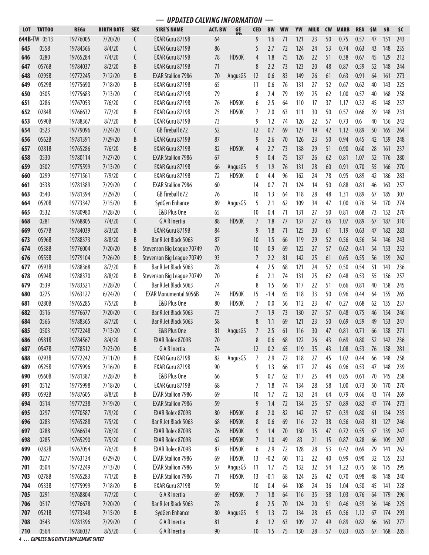| <b>ACT. BW</b><br>GE<br>EPDs<br><b>TATTOO</b><br>REG#<br><b>BIRTH DATE</b><br><b>SEX</b><br><b>SIRE'S NAME</b><br><b>CED</b><br><b>BW</b><br><b>WW</b><br>YW<br><b>MILK</b><br><b>CW</b><br><b>MARB</b><br><b>LOT</b><br>644B-TW 0513<br>19776005<br>7/20/20<br>C<br>EXAR Guru 8719B<br>9<br>71<br>121<br>23<br>50<br>0.75<br>64<br>1.6<br>0558<br>645<br>19784566<br>8/4/20<br>C<br>EXAR Guru 8719B<br>86<br>5<br>2.7<br>72<br>124<br>24<br>53<br>0.74<br>C<br>646<br>0280<br>19765284<br>7/4/20<br>EXAR Guru 8719B<br>78<br>HD50K<br>1.8<br>75<br>126<br>22<br>51<br>0.38<br>4<br>B<br>647<br>19784037<br>8/2/20<br>EXAR Guru 8719B<br>71<br>8<br>2.2<br>73<br>123<br>20<br>48<br>0.87<br>0576B<br>83<br>648<br>0295B<br>19772245<br>7/12/20<br>B<br><b>EXAR Stallion 7986</b><br>70<br>12<br>0.6<br>149<br>26<br>61<br>0.63<br>AngusGS<br>649<br>0529B<br>19775690<br>7/18/20<br>B<br>EXAR Guru 8719B<br>65<br>76<br>131<br>27<br>52<br>0.67<br>11<br>0.6<br>7/13/20<br>79<br>650<br>0505<br>19775683<br>EXAR Guru 8719B<br>8<br>2.4<br>79<br>139<br>25<br>1.00<br>C<br>62<br>0286<br>7/6/20<br>EXAR Guru 8719B<br>76<br>HD50K<br>2.5<br>17<br>37<br>651<br>19767053<br>C<br>6<br>64<br>110<br>1.17<br>652<br>0284B<br>19766632<br>7/7/20<br>B<br>EXAR Guru 8719B<br>75<br>HD50K<br>7<br>2.0<br>63<br>111<br>30<br>50<br>0.57<br>8/7/20<br>B<br>73<br>0.73<br>653<br>0590B<br>19788367<br>EXAR Guru 8719B<br>9<br>1.2<br>74<br>126<br>22<br>57<br>GB Fireball 672<br>654<br>0523<br>19779096<br>7/24/20<br>C<br>52<br>12<br>0.7<br>69<br>127<br>19<br>42<br>1.12<br>656<br>0562B<br>19781391<br>7/29/20<br>B<br>EXAR Guru 8719B<br>87<br>9<br>2.6<br>70<br>23<br>50<br>0.94<br>126<br>657<br>7/6/20<br>0281B<br>19765286<br>B<br>EXAR Guru 8719B<br>82<br>HD50K<br>4<br>2.7<br>73<br>138<br>29<br>51<br>0.90<br>658<br>0530<br>67<br>75<br>26<br>19780114<br>7/27/20<br>C<br><b>EXAR Stallion 7986</b><br>9<br>0.4<br>137<br>62<br>0.81<br>C<br>76<br>659<br>0502<br>19775599<br>7/13/20<br>EXAR Guru 8719B<br>66<br>9<br>1.9<br>131<br>28<br>60<br>0.91<br>AngusGS<br>0299<br>7/9/20<br>C<br>EXAR Guru 8719B<br>72<br>HD50K<br>0<br>4.4<br>96<br>78<br>0.95<br>660<br>19771561<br>162<br>24<br>661<br>0538<br>19781389<br>7/29/20<br>C<br><b>EXAR Stallion 7986</b><br>60<br>14<br>71<br>124<br>14<br>50<br>0.88<br>0.7<br>7/29/20<br>GB Fireball 672<br>663<br>0540<br>19781394<br>C<br>76<br>10<br>1.3<br>64<br>118<br>28<br>48<br>1.31<br>7/15/20<br>664<br>0520B<br>19773347<br>B<br>SydGen Enhance<br>89<br>5<br>2.1<br>109<br>34<br>47<br>1.00<br>AngusGS<br>62<br>665<br>0532<br>C<br>E&B Plus One<br>65<br>10<br>71<br>131<br>27<br>50<br>0.81<br>19780980<br>7/28/20<br>0.4<br>668<br>0281<br>19768805<br>7/4/20<br>C<br>G A R Inertia<br>88<br>HD50K<br>1.8<br>77<br>137<br>27<br>66<br>1.07<br>7<br>B<br>EXAR Guru 8719B<br>669<br>0577B<br>19784039<br>8/3/20<br>84<br>9<br>1.8<br>125<br>1.19<br>71<br>30<br>61<br>Bar R Jet Black 5063<br>87<br>673<br>0596B<br>19788373<br>8/8/20<br>B<br>10<br>1.5<br>66<br>119<br>29<br>52<br>0.56<br>0.9<br>674<br>0538B<br>19776004<br>7/20/20<br>Stevenson Big League 70749<br>70<br>10<br>122<br>27<br>57<br>0.62<br>B<br>69<br>93<br>676<br>0555B<br>19779104<br>7/26/20<br>B<br>Stevenson Big League 70749<br>7<br>2.2<br>81<br>142<br>25<br>0.65<br>61<br>677<br>0593B<br>B<br>Bar R Jet Black 5063<br>78<br>2.5<br>52<br>19788368<br>8/7/20<br>4<br>68<br>121<br>24<br>0.50<br>Stevenson Big League 70749<br>678<br>0594B<br>19788370<br>8/8/20<br>B<br>70<br>2.1<br>74<br>131<br>25<br>62<br>0.48<br>6<br>Bar R Jet Black 5063<br>679<br>0539<br>19783521<br>7/28/20<br>C<br>74<br>8<br>1.5<br>66<br>117<br>22<br>51<br>0.66<br>0275<br>15<br>33<br>50<br>680<br>19763127<br>6/24/20<br>C<br><b>EXAR Monumental 6056B</b><br>74<br>HD50K<br>$-1.4$<br>65<br>118<br>0.96<br>0280B<br>7/5/20<br>E&B Plus One<br>681<br>19765285<br>B<br>80<br>HD50K<br>7<br>0.0<br>56<br>112<br>23<br>47<br>0.27<br>Bar R Jet Black 5063<br>682<br>0516<br>19776677<br>7/20/20<br>73<br>1.9<br>27<br>C<br>7<br>73<br>130<br>57<br>0.48<br>684<br>0566<br>8/7/20<br>Bar R Jet Black 5063<br>58<br>69<br>121<br>23<br>50<br>19788365<br>C<br>8<br>1.1<br>0.69<br>685<br>0503<br>19772248<br>7/13/20<br>$\mathsf{C}$<br>E&B Plus One<br>81<br>AngusGS<br>$\overline{7}$<br>2.5<br>61<br>116<br>30<br>47<br>0.81<br>0581B<br>19784567<br>8/4/20<br>B<br>EXAR Rolex 8709B<br>70<br>8<br>0.6<br>68<br>122<br>686<br>26<br>43<br>0.69<br>0547B<br>19778512<br>7/23/20<br><b>G A R Inertia</b><br>12<br>0.2<br>65<br>119<br>35<br>1.08<br>687<br>B<br>74<br>43<br>688<br>0293B<br>19772242<br>7/11/20<br>B<br>EXAR Guru 8719B<br>82<br>7<br>2.9<br>118<br>27<br>1.02<br>AngusGS<br>72<br>45<br>7/16/20<br>EXAR Guru 8719B<br>90<br>689<br>0525B<br>19775996<br>B<br>9<br>1.3<br>117<br>27<br>0.96<br>66<br>46<br>0560B<br>7/28/20<br>E&B Plus One<br>66<br>0.7<br>25<br>690<br>19781387<br>B<br>9<br>62<br>117<br>0.85<br>44<br>0512<br>7/18/20<br>EXAR Guru 8719B<br>68<br>19775998<br>С<br>1.8<br>74<br>134<br>28<br>58<br>1.00<br>691<br>7<br>0592B<br>8/8/20<br><b>EXAR Stallion 7986</b><br>69<br>0.79<br>693<br>19787605<br>B<br>10<br>1.7<br>72<br>133<br>24<br>64<br><b>EXAR Stallion 7986</b><br>694<br>0514<br>19777238<br>7/19/20<br>C<br>59<br>9<br>1.4<br>72<br>134<br>25<br>0.89<br>57<br><b>EXAR Rolex 8709B</b><br>695<br>0297<br>19770587<br>7/9/20<br>C<br>HD50K<br>2.0<br>82<br>142<br>27<br>0.39<br>80<br>8<br>57<br>696<br>0283<br>19765288<br>7/5/20<br>Bar R Jet Black 5063<br>HD50K<br>0.6<br>116<br>22<br>0.56<br>C<br>68<br>8<br>69<br>38<br>0288<br>35<br>0.72<br>697<br>19766634<br>7/6/20<br>C<br>EXAR Rolex 8709B<br>76<br>HD50K<br>1.4<br>70<br>130<br>47<br>9<br>49<br>698<br>0285<br>19765290<br>7/5/20<br>C<br>EXAR Rolex 8709B<br>HD50K<br>$\overline{7}$<br>1.0<br>83<br>15<br>0.87<br>62<br>21<br>B<br><b>EXAR Rolex 8709B</b><br>699<br>0282B<br>19767054<br>7/6/20<br>HD50K<br>6<br>2.9<br>128<br>0.42<br>87<br>72<br>28<br>53<br>0277<br><b>EXAR Stallion 7986</b><br>19763124<br>6/29/20<br>C<br>69<br>HD50K<br>13<br>$-0.2$<br>60<br>112<br>22<br>40<br>0.99<br>700<br>0504<br>7/13/20<br><b>EXAR Stallion 7986</b><br>701<br>19772249<br>C<br>11<br>75<br>132<br>32<br>1.22<br>57<br>AngusGS<br>1.7<br>54<br>0278B<br>7/1/20<br>703<br>19765283<br>B<br><b>EXAR Stallion 7986</b><br>71<br>HD50K<br>13<br>$-0.1$<br>124<br>26<br>0.70<br>68<br>42<br>0533B<br>EXAR Guru 8719B<br>59<br>108<br>704<br>19775999<br>7/18/20<br>B<br>10<br>0.4<br>64<br>24<br>36<br>1.04 |     | <b>UPDATED CALVING INFORMATION</b> |          |        |   |                      |    |       |   |     |    |     |    |    |      |            |     |        |     |
|-----------------------------------------------------------------------------------------------------------------------------------------------------------------------------------------------------------------------------------------------------------------------------------------------------------------------------------------------------------------------------------------------------------------------------------------------------------------------------------------------------------------------------------------------------------------------------------------------------------------------------------------------------------------------------------------------------------------------------------------------------------------------------------------------------------------------------------------------------------------------------------------------------------------------------------------------------------------------------------------------------------------------------------------------------------------------------------------------------------------------------------------------------------------------------------------------------------------------------------------------------------------------------------------------------------------------------------------------------------------------------------------------------------------------------------------------------------------------------------------------------------------------------------------------------------------------------------------------------------------------------------------------------------------------------------------------------------------------------------------------------------------------------------------------------------------------------------------------------------------------------------------------------------------------------------------------------------------------------------------------------------------------------------------------------------------------------------------------------------------------------------------------------------------------------------------------------------------------------------------------------------------------------------------------------------------------------------------------------------------------------------------------------------------------------------------------------------------------------------------------------------------------------------------------------------------------------------------------------------------------------------------------------------------------------------------------------------------------------------------------------------------------------------------------------------------------------------------------------------------------------------------------------------------------------------------------------------------------------------------------------------------------------------------------------------------------------------------------------------------------------------------------------------------------------------------------------------------------------------------------------------------------------------------------------------------------------------------------------------------------------------------------------------------------------------------------------------------------------------------------------------------------------------------------------------------------------------------------------------------------------------------------------------------------------------------------------------------------------------------------------------------------------------------------------------------------------------------------------------------------------------------------------------------------------------------------------------------------------------------------------------------------------------------------------------------------------------------------------------------------------------------------------------------------------------------------------------------------------------------------------------------------------------------------------------------------------------------------------------------------------------------------------------------------------------------------------------------------------------------------------------------------------------------------------------------------------------------------------------------------------------------------------------------------------------------------------------------------------------------------------------------------------------------------------------------------------------------------------------------------------------------------------------------------------------------------------------------------------------------------------------------------------------------------------------------------------------------------------------------------------------------------------------------------------------------------------------------------------------------------------------------------------------------------------------------------------------------------------------------------------------------------------------------------------------------------------------------------------------------------------------------------------------------------------------------------------------------------------------------------------------------------------------------------------------------------------------------------------------------------------------------------------------------------------------------------------------------------------------------------------------------------------------------------------------------------------------------------------------------------------------------------------------------------------------------------------------------------------------------------------------------------------------------------------------------------------------------------------------------------------------------------------------------------------------------------------------------------------------------------------------------------------------------------------------------------------------------------------------------------------------------------------------------------------|-----|------------------------------------|----------|--------|---|----------------------|----|-------|---|-----|----|-----|----|----|------|------------|-----|--------|-----|
|                                                                                                                                                                                                                                                                                                                                                                                                                                                                                                                                                                                                                                                                                                                                                                                                                                                                                                                                                                                                                                                                                                                                                                                                                                                                                                                                                                                                                                                                                                                                                                                                                                                                                                                                                                                                                                                                                                                                                                                                                                                                                                                                                                                                                                                                                                                                                                                                                                                                                                                                                                                                                                                                                                                                                                                                                                                                                                                                                                                                                                                                                                                                                                                                                                                                                                                                                                                                                                                                                                                                                                                                                                                                                                                                                                                                                                                                                                                                                                                                                                                                                                                                                                                                                                                                                                                                                                                                                                                                                                                                                                                                                                                                                                                                                                                                                                                                                                                                                                                                                                                                                                                                                                                                                                                                                                                                                                                                                                                                                                                                                                                                                                                                                                                                                                                                                                                                                                                                                                                                                                                                                                                                                                                                                                                                                                                                                                                                                                                                                                                                                     |     |                                    |          |        |   |                      |    |       |   |     |    |     |    |    |      | <b>REA</b> | \$M | \$B    | \$C |
|                                                                                                                                                                                                                                                                                                                                                                                                                                                                                                                                                                                                                                                                                                                                                                                                                                                                                                                                                                                                                                                                                                                                                                                                                                                                                                                                                                                                                                                                                                                                                                                                                                                                                                                                                                                                                                                                                                                                                                                                                                                                                                                                                                                                                                                                                                                                                                                                                                                                                                                                                                                                                                                                                                                                                                                                                                                                                                                                                                                                                                                                                                                                                                                                                                                                                                                                                                                                                                                                                                                                                                                                                                                                                                                                                                                                                                                                                                                                                                                                                                                                                                                                                                                                                                                                                                                                                                                                                                                                                                                                                                                                                                                                                                                                                                                                                                                                                                                                                                                                                                                                                                                                                                                                                                                                                                                                                                                                                                                                                                                                                                                                                                                                                                                                                                                                                                                                                                                                                                                                                                                                                                                                                                                                                                                                                                                                                                                                                                                                                                                                                     |     |                                    |          |        |   |                      |    |       |   |     |    |     |    |    |      | 0.57       | 47  | 151    | 243 |
|                                                                                                                                                                                                                                                                                                                                                                                                                                                                                                                                                                                                                                                                                                                                                                                                                                                                                                                                                                                                                                                                                                                                                                                                                                                                                                                                                                                                                                                                                                                                                                                                                                                                                                                                                                                                                                                                                                                                                                                                                                                                                                                                                                                                                                                                                                                                                                                                                                                                                                                                                                                                                                                                                                                                                                                                                                                                                                                                                                                                                                                                                                                                                                                                                                                                                                                                                                                                                                                                                                                                                                                                                                                                                                                                                                                                                                                                                                                                                                                                                                                                                                                                                                                                                                                                                                                                                                                                                                                                                                                                                                                                                                                                                                                                                                                                                                                                                                                                                                                                                                                                                                                                                                                                                                                                                                                                                                                                                                                                                                                                                                                                                                                                                                                                                                                                                                                                                                                                                                                                                                                                                                                                                                                                                                                                                                                                                                                                                                                                                                                                                     |     |                                    |          |        |   |                      |    |       |   |     |    |     |    |    |      | 0.63       | 43  | 148    | 235 |
|                                                                                                                                                                                                                                                                                                                                                                                                                                                                                                                                                                                                                                                                                                                                                                                                                                                                                                                                                                                                                                                                                                                                                                                                                                                                                                                                                                                                                                                                                                                                                                                                                                                                                                                                                                                                                                                                                                                                                                                                                                                                                                                                                                                                                                                                                                                                                                                                                                                                                                                                                                                                                                                                                                                                                                                                                                                                                                                                                                                                                                                                                                                                                                                                                                                                                                                                                                                                                                                                                                                                                                                                                                                                                                                                                                                                                                                                                                                                                                                                                                                                                                                                                                                                                                                                                                                                                                                                                                                                                                                                                                                                                                                                                                                                                                                                                                                                                                                                                                                                                                                                                                                                                                                                                                                                                                                                                                                                                                                                                                                                                                                                                                                                                                                                                                                                                                                                                                                                                                                                                                                                                                                                                                                                                                                                                                                                                                                                                                                                                                                                                     |     |                                    |          |        |   |                      |    |       |   |     |    |     |    |    |      | 0.67       | 45  | 129    | 212 |
|                                                                                                                                                                                                                                                                                                                                                                                                                                                                                                                                                                                                                                                                                                                                                                                                                                                                                                                                                                                                                                                                                                                                                                                                                                                                                                                                                                                                                                                                                                                                                                                                                                                                                                                                                                                                                                                                                                                                                                                                                                                                                                                                                                                                                                                                                                                                                                                                                                                                                                                                                                                                                                                                                                                                                                                                                                                                                                                                                                                                                                                                                                                                                                                                                                                                                                                                                                                                                                                                                                                                                                                                                                                                                                                                                                                                                                                                                                                                                                                                                                                                                                                                                                                                                                                                                                                                                                                                                                                                                                                                                                                                                                                                                                                                                                                                                                                                                                                                                                                                                                                                                                                                                                                                                                                                                                                                                                                                                                                                                                                                                                                                                                                                                                                                                                                                                                                                                                                                                                                                                                                                                                                                                                                                                                                                                                                                                                                                                                                                                                                                                     |     |                                    |          |        |   |                      |    |       |   |     |    |     |    |    |      | 0.59       | 52  | 148    | 244 |
|                                                                                                                                                                                                                                                                                                                                                                                                                                                                                                                                                                                                                                                                                                                                                                                                                                                                                                                                                                                                                                                                                                                                                                                                                                                                                                                                                                                                                                                                                                                                                                                                                                                                                                                                                                                                                                                                                                                                                                                                                                                                                                                                                                                                                                                                                                                                                                                                                                                                                                                                                                                                                                                                                                                                                                                                                                                                                                                                                                                                                                                                                                                                                                                                                                                                                                                                                                                                                                                                                                                                                                                                                                                                                                                                                                                                                                                                                                                                                                                                                                                                                                                                                                                                                                                                                                                                                                                                                                                                                                                                                                                                                                                                                                                                                                                                                                                                                                                                                                                                                                                                                                                                                                                                                                                                                                                                                                                                                                                                                                                                                                                                                                                                                                                                                                                                                                                                                                                                                                                                                                                                                                                                                                                                                                                                                                                                                                                                                                                                                                                                                     |     |                                    |          |        |   |                      |    |       |   |     |    |     |    |    |      | 0.91       | 64  | 161    | 273 |
|                                                                                                                                                                                                                                                                                                                                                                                                                                                                                                                                                                                                                                                                                                                                                                                                                                                                                                                                                                                                                                                                                                                                                                                                                                                                                                                                                                                                                                                                                                                                                                                                                                                                                                                                                                                                                                                                                                                                                                                                                                                                                                                                                                                                                                                                                                                                                                                                                                                                                                                                                                                                                                                                                                                                                                                                                                                                                                                                                                                                                                                                                                                                                                                                                                                                                                                                                                                                                                                                                                                                                                                                                                                                                                                                                                                                                                                                                                                                                                                                                                                                                                                                                                                                                                                                                                                                                                                                                                                                                                                                                                                                                                                                                                                                                                                                                                                                                                                                                                                                                                                                                                                                                                                                                                                                                                                                                                                                                                                                                                                                                                                                                                                                                                                                                                                                                                                                                                                                                                                                                                                                                                                                                                                                                                                                                                                                                                                                                                                                                                                                                     |     |                                    |          |        |   |                      |    |       |   |     |    |     |    |    |      | 0.62       | 40  | 143    | 225 |
|                                                                                                                                                                                                                                                                                                                                                                                                                                                                                                                                                                                                                                                                                                                                                                                                                                                                                                                                                                                                                                                                                                                                                                                                                                                                                                                                                                                                                                                                                                                                                                                                                                                                                                                                                                                                                                                                                                                                                                                                                                                                                                                                                                                                                                                                                                                                                                                                                                                                                                                                                                                                                                                                                                                                                                                                                                                                                                                                                                                                                                                                                                                                                                                                                                                                                                                                                                                                                                                                                                                                                                                                                                                                                                                                                                                                                                                                                                                                                                                                                                                                                                                                                                                                                                                                                                                                                                                                                                                                                                                                                                                                                                                                                                                                                                                                                                                                                                                                                                                                                                                                                                                                                                                                                                                                                                                                                                                                                                                                                                                                                                                                                                                                                                                                                                                                                                                                                                                                                                                                                                                                                                                                                                                                                                                                                                                                                                                                                                                                                                                                                     |     |                                    |          |        |   |                      |    |       |   |     |    |     |    |    |      | 0.57       | 40  | 168    | 258 |
|                                                                                                                                                                                                                                                                                                                                                                                                                                                                                                                                                                                                                                                                                                                                                                                                                                                                                                                                                                                                                                                                                                                                                                                                                                                                                                                                                                                                                                                                                                                                                                                                                                                                                                                                                                                                                                                                                                                                                                                                                                                                                                                                                                                                                                                                                                                                                                                                                                                                                                                                                                                                                                                                                                                                                                                                                                                                                                                                                                                                                                                                                                                                                                                                                                                                                                                                                                                                                                                                                                                                                                                                                                                                                                                                                                                                                                                                                                                                                                                                                                                                                                                                                                                                                                                                                                                                                                                                                                                                                                                                                                                                                                                                                                                                                                                                                                                                                                                                                                                                                                                                                                                                                                                                                                                                                                                                                                                                                                                                                                                                                                                                                                                                                                                                                                                                                                                                                                                                                                                                                                                                                                                                                                                                                                                                                                                                                                                                                                                                                                                                                     |     |                                    |          |        |   |                      |    |       |   |     |    |     |    |    |      | 0.32       | 45  | 148    | 237 |
|                                                                                                                                                                                                                                                                                                                                                                                                                                                                                                                                                                                                                                                                                                                                                                                                                                                                                                                                                                                                                                                                                                                                                                                                                                                                                                                                                                                                                                                                                                                                                                                                                                                                                                                                                                                                                                                                                                                                                                                                                                                                                                                                                                                                                                                                                                                                                                                                                                                                                                                                                                                                                                                                                                                                                                                                                                                                                                                                                                                                                                                                                                                                                                                                                                                                                                                                                                                                                                                                                                                                                                                                                                                                                                                                                                                                                                                                                                                                                                                                                                                                                                                                                                                                                                                                                                                                                                                                                                                                                                                                                                                                                                                                                                                                                                                                                                                                                                                                                                                                                                                                                                                                                                                                                                                                                                                                                                                                                                                                                                                                                                                                                                                                                                                                                                                                                                                                                                                                                                                                                                                                                                                                                                                                                                                                                                                                                                                                                                                                                                                                                     |     |                                    |          |        |   |                      |    |       |   |     |    |     |    |    |      | 0.66       | 39  | 148    | 231 |
|                                                                                                                                                                                                                                                                                                                                                                                                                                                                                                                                                                                                                                                                                                                                                                                                                                                                                                                                                                                                                                                                                                                                                                                                                                                                                                                                                                                                                                                                                                                                                                                                                                                                                                                                                                                                                                                                                                                                                                                                                                                                                                                                                                                                                                                                                                                                                                                                                                                                                                                                                                                                                                                                                                                                                                                                                                                                                                                                                                                                                                                                                                                                                                                                                                                                                                                                                                                                                                                                                                                                                                                                                                                                                                                                                                                                                                                                                                                                                                                                                                                                                                                                                                                                                                                                                                                                                                                                                                                                                                                                                                                                                                                                                                                                                                                                                                                                                                                                                                                                                                                                                                                                                                                                                                                                                                                                                                                                                                                                                                                                                                                                                                                                                                                                                                                                                                                                                                                                                                                                                                                                                                                                                                                                                                                                                                                                                                                                                                                                                                                                                     |     |                                    |          |        |   |                      |    |       |   |     |    |     |    |    |      | 0.6        | 40  | 156    | 242 |
|                                                                                                                                                                                                                                                                                                                                                                                                                                                                                                                                                                                                                                                                                                                                                                                                                                                                                                                                                                                                                                                                                                                                                                                                                                                                                                                                                                                                                                                                                                                                                                                                                                                                                                                                                                                                                                                                                                                                                                                                                                                                                                                                                                                                                                                                                                                                                                                                                                                                                                                                                                                                                                                                                                                                                                                                                                                                                                                                                                                                                                                                                                                                                                                                                                                                                                                                                                                                                                                                                                                                                                                                                                                                                                                                                                                                                                                                                                                                                                                                                                                                                                                                                                                                                                                                                                                                                                                                                                                                                                                                                                                                                                                                                                                                                                                                                                                                                                                                                                                                                                                                                                                                                                                                                                                                                                                                                                                                                                                                                                                                                                                                                                                                                                                                                                                                                                                                                                                                                                                                                                                                                                                                                                                                                                                                                                                                                                                                                                                                                                                                                     |     |                                    |          |        |   |                      |    |       |   |     |    |     |    |    |      | 0.89       | 50  | 165    | 264 |
|                                                                                                                                                                                                                                                                                                                                                                                                                                                                                                                                                                                                                                                                                                                                                                                                                                                                                                                                                                                                                                                                                                                                                                                                                                                                                                                                                                                                                                                                                                                                                                                                                                                                                                                                                                                                                                                                                                                                                                                                                                                                                                                                                                                                                                                                                                                                                                                                                                                                                                                                                                                                                                                                                                                                                                                                                                                                                                                                                                                                                                                                                                                                                                                                                                                                                                                                                                                                                                                                                                                                                                                                                                                                                                                                                                                                                                                                                                                                                                                                                                                                                                                                                                                                                                                                                                                                                                                                                                                                                                                                                                                                                                                                                                                                                                                                                                                                                                                                                                                                                                                                                                                                                                                                                                                                                                                                                                                                                                                                                                                                                                                                                                                                                                                                                                                                                                                                                                                                                                                                                                                                                                                                                                                                                                                                                                                                                                                                                                                                                                                                                     |     |                                    |          |        |   |                      |    |       |   |     |    |     |    |    |      | 0.45       | 42  | 159    | 248 |
|                                                                                                                                                                                                                                                                                                                                                                                                                                                                                                                                                                                                                                                                                                                                                                                                                                                                                                                                                                                                                                                                                                                                                                                                                                                                                                                                                                                                                                                                                                                                                                                                                                                                                                                                                                                                                                                                                                                                                                                                                                                                                                                                                                                                                                                                                                                                                                                                                                                                                                                                                                                                                                                                                                                                                                                                                                                                                                                                                                                                                                                                                                                                                                                                                                                                                                                                                                                                                                                                                                                                                                                                                                                                                                                                                                                                                                                                                                                                                                                                                                                                                                                                                                                                                                                                                                                                                                                                                                                                                                                                                                                                                                                                                                                                                                                                                                                                                                                                                                                                                                                                                                                                                                                                                                                                                                                                                                                                                                                                                                                                                                                                                                                                                                                                                                                                                                                                                                                                                                                                                                                                                                                                                                                                                                                                                                                                                                                                                                                                                                                                                     |     |                                    |          |        |   |                      |    |       |   |     |    |     |    |    |      | 0.60       | 28  | 161    | 237 |
|                                                                                                                                                                                                                                                                                                                                                                                                                                                                                                                                                                                                                                                                                                                                                                                                                                                                                                                                                                                                                                                                                                                                                                                                                                                                                                                                                                                                                                                                                                                                                                                                                                                                                                                                                                                                                                                                                                                                                                                                                                                                                                                                                                                                                                                                                                                                                                                                                                                                                                                                                                                                                                                                                                                                                                                                                                                                                                                                                                                                                                                                                                                                                                                                                                                                                                                                                                                                                                                                                                                                                                                                                                                                                                                                                                                                                                                                                                                                                                                                                                                                                                                                                                                                                                                                                                                                                                                                                                                                                                                                                                                                                                                                                                                                                                                                                                                                                                                                                                                                                                                                                                                                                                                                                                                                                                                                                                                                                                                                                                                                                                                                                                                                                                                                                                                                                                                                                                                                                                                                                                                                                                                                                                                                                                                                                                                                                                                                                                                                                                                                                     |     |                                    |          |        |   |                      |    |       |   |     |    |     |    |    |      | 1.07       | 52  | 176    | 280 |
|                                                                                                                                                                                                                                                                                                                                                                                                                                                                                                                                                                                                                                                                                                                                                                                                                                                                                                                                                                                                                                                                                                                                                                                                                                                                                                                                                                                                                                                                                                                                                                                                                                                                                                                                                                                                                                                                                                                                                                                                                                                                                                                                                                                                                                                                                                                                                                                                                                                                                                                                                                                                                                                                                                                                                                                                                                                                                                                                                                                                                                                                                                                                                                                                                                                                                                                                                                                                                                                                                                                                                                                                                                                                                                                                                                                                                                                                                                                                                                                                                                                                                                                                                                                                                                                                                                                                                                                                                                                                                                                                                                                                                                                                                                                                                                                                                                                                                                                                                                                                                                                                                                                                                                                                                                                                                                                                                                                                                                                                                                                                                                                                                                                                                                                                                                                                                                                                                                                                                                                                                                                                                                                                                                                                                                                                                                                                                                                                                                                                                                                                                     |     |                                    |          |        |   |                      |    |       |   |     |    |     |    |    |      | 0.70       | 55  | 166    | 270 |
|                                                                                                                                                                                                                                                                                                                                                                                                                                                                                                                                                                                                                                                                                                                                                                                                                                                                                                                                                                                                                                                                                                                                                                                                                                                                                                                                                                                                                                                                                                                                                                                                                                                                                                                                                                                                                                                                                                                                                                                                                                                                                                                                                                                                                                                                                                                                                                                                                                                                                                                                                                                                                                                                                                                                                                                                                                                                                                                                                                                                                                                                                                                                                                                                                                                                                                                                                                                                                                                                                                                                                                                                                                                                                                                                                                                                                                                                                                                                                                                                                                                                                                                                                                                                                                                                                                                                                                                                                                                                                                                                                                                                                                                                                                                                                                                                                                                                                                                                                                                                                                                                                                                                                                                                                                                                                                                                                                                                                                                                                                                                                                                                                                                                                                                                                                                                                                                                                                                                                                                                                                                                                                                                                                                                                                                                                                                                                                                                                                                                                                                                                     |     |                                    |          |        |   |                      |    |       |   |     |    |     |    |    |      | 0.89       | 42  | 186    | 283 |
|                                                                                                                                                                                                                                                                                                                                                                                                                                                                                                                                                                                                                                                                                                                                                                                                                                                                                                                                                                                                                                                                                                                                                                                                                                                                                                                                                                                                                                                                                                                                                                                                                                                                                                                                                                                                                                                                                                                                                                                                                                                                                                                                                                                                                                                                                                                                                                                                                                                                                                                                                                                                                                                                                                                                                                                                                                                                                                                                                                                                                                                                                                                                                                                                                                                                                                                                                                                                                                                                                                                                                                                                                                                                                                                                                                                                                                                                                                                                                                                                                                                                                                                                                                                                                                                                                                                                                                                                                                                                                                                                                                                                                                                                                                                                                                                                                                                                                                                                                                                                                                                                                                                                                                                                                                                                                                                                                                                                                                                                                                                                                                                                                                                                                                                                                                                                                                                                                                                                                                                                                                                                                                                                                                                                                                                                                                                                                                                                                                                                                                                                                     |     |                                    |          |        |   |                      |    |       |   |     |    |     |    |    |      | 0.81       | 46  | 163    | 257 |
|                                                                                                                                                                                                                                                                                                                                                                                                                                                                                                                                                                                                                                                                                                                                                                                                                                                                                                                                                                                                                                                                                                                                                                                                                                                                                                                                                                                                                                                                                                                                                                                                                                                                                                                                                                                                                                                                                                                                                                                                                                                                                                                                                                                                                                                                                                                                                                                                                                                                                                                                                                                                                                                                                                                                                                                                                                                                                                                                                                                                                                                                                                                                                                                                                                                                                                                                                                                                                                                                                                                                                                                                                                                                                                                                                                                                                                                                                                                                                                                                                                                                                                                                                                                                                                                                                                                                                                                                                                                                                                                                                                                                                                                                                                                                                                                                                                                                                                                                                                                                                                                                                                                                                                                                                                                                                                                                                                                                                                                                                                                                                                                                                                                                                                                                                                                                                                                                                                                                                                                                                                                                                                                                                                                                                                                                                                                                                                                                                                                                                                                                                     |     |                                    |          |        |   |                      |    |       |   |     |    |     |    |    |      | 0.89       | 67  | 185    | 307 |
|                                                                                                                                                                                                                                                                                                                                                                                                                                                                                                                                                                                                                                                                                                                                                                                                                                                                                                                                                                                                                                                                                                                                                                                                                                                                                                                                                                                                                                                                                                                                                                                                                                                                                                                                                                                                                                                                                                                                                                                                                                                                                                                                                                                                                                                                                                                                                                                                                                                                                                                                                                                                                                                                                                                                                                                                                                                                                                                                                                                                                                                                                                                                                                                                                                                                                                                                                                                                                                                                                                                                                                                                                                                                                                                                                                                                                                                                                                                                                                                                                                                                                                                                                                                                                                                                                                                                                                                                                                                                                                                                                                                                                                                                                                                                                                                                                                                                                                                                                                                                                                                                                                                                                                                                                                                                                                                                                                                                                                                                                                                                                                                                                                                                                                                                                                                                                                                                                                                                                                                                                                                                                                                                                                                                                                                                                                                                                                                                                                                                                                                                                     |     |                                    |          |        |   |                      |    |       |   |     |    |     |    |    |      | 0.76       | 54  | 170    | 274 |
|                                                                                                                                                                                                                                                                                                                                                                                                                                                                                                                                                                                                                                                                                                                                                                                                                                                                                                                                                                                                                                                                                                                                                                                                                                                                                                                                                                                                                                                                                                                                                                                                                                                                                                                                                                                                                                                                                                                                                                                                                                                                                                                                                                                                                                                                                                                                                                                                                                                                                                                                                                                                                                                                                                                                                                                                                                                                                                                                                                                                                                                                                                                                                                                                                                                                                                                                                                                                                                                                                                                                                                                                                                                                                                                                                                                                                                                                                                                                                                                                                                                                                                                                                                                                                                                                                                                                                                                                                                                                                                                                                                                                                                                                                                                                                                                                                                                                                                                                                                                                                                                                                                                                                                                                                                                                                                                                                                                                                                                                                                                                                                                                                                                                                                                                                                                                                                                                                                                                                                                                                                                                                                                                                                                                                                                                                                                                                                                                                                                                                                                                                     |     |                                    |          |        |   |                      |    |       |   |     |    |     |    |    |      | 0.68       | 73  | 152    | 270 |
|                                                                                                                                                                                                                                                                                                                                                                                                                                                                                                                                                                                                                                                                                                                                                                                                                                                                                                                                                                                                                                                                                                                                                                                                                                                                                                                                                                                                                                                                                                                                                                                                                                                                                                                                                                                                                                                                                                                                                                                                                                                                                                                                                                                                                                                                                                                                                                                                                                                                                                                                                                                                                                                                                                                                                                                                                                                                                                                                                                                                                                                                                                                                                                                                                                                                                                                                                                                                                                                                                                                                                                                                                                                                                                                                                                                                                                                                                                                                                                                                                                                                                                                                                                                                                                                                                                                                                                                                                                                                                                                                                                                                                                                                                                                                                                                                                                                                                                                                                                                                                                                                                                                                                                                                                                                                                                                                                                                                                                                                                                                                                                                                                                                                                                                                                                                                                                                                                                                                                                                                                                                                                                                                                                                                                                                                                                                                                                                                                                                                                                                                                     |     |                                    |          |        |   |                      |    |       |   |     |    |     |    |    |      | 0.89       | 67  | 187    | 310 |
|                                                                                                                                                                                                                                                                                                                                                                                                                                                                                                                                                                                                                                                                                                                                                                                                                                                                                                                                                                                                                                                                                                                                                                                                                                                                                                                                                                                                                                                                                                                                                                                                                                                                                                                                                                                                                                                                                                                                                                                                                                                                                                                                                                                                                                                                                                                                                                                                                                                                                                                                                                                                                                                                                                                                                                                                                                                                                                                                                                                                                                                                                                                                                                                                                                                                                                                                                                                                                                                                                                                                                                                                                                                                                                                                                                                                                                                                                                                                                                                                                                                                                                                                                                                                                                                                                                                                                                                                                                                                                                                                                                                                                                                                                                                                                                                                                                                                                                                                                                                                                                                                                                                                                                                                                                                                                                                                                                                                                                                                                                                                                                                                                                                                                                                                                                                                                                                                                                                                                                                                                                                                                                                                                                                                                                                                                                                                                                                                                                                                                                                                                     |     |                                    |          |        |   |                      |    |       |   |     |    |     |    |    |      | 0.63       | 47  | 182    | 283 |
|                                                                                                                                                                                                                                                                                                                                                                                                                                                                                                                                                                                                                                                                                                                                                                                                                                                                                                                                                                                                                                                                                                                                                                                                                                                                                                                                                                                                                                                                                                                                                                                                                                                                                                                                                                                                                                                                                                                                                                                                                                                                                                                                                                                                                                                                                                                                                                                                                                                                                                                                                                                                                                                                                                                                                                                                                                                                                                                                                                                                                                                                                                                                                                                                                                                                                                                                                                                                                                                                                                                                                                                                                                                                                                                                                                                                                                                                                                                                                                                                                                                                                                                                                                                                                                                                                                                                                                                                                                                                                                                                                                                                                                                                                                                                                                                                                                                                                                                                                                                                                                                                                                                                                                                                                                                                                                                                                                                                                                                                                                                                                                                                                                                                                                                                                                                                                                                                                                                                                                                                                                                                                                                                                                                                                                                                                                                                                                                                                                                                                                                                                     |     |                                    |          |        |   |                      |    |       |   |     |    |     |    |    |      | 0.56       | 54  | 146    | 243 |
|                                                                                                                                                                                                                                                                                                                                                                                                                                                                                                                                                                                                                                                                                                                                                                                                                                                                                                                                                                                                                                                                                                                                                                                                                                                                                                                                                                                                                                                                                                                                                                                                                                                                                                                                                                                                                                                                                                                                                                                                                                                                                                                                                                                                                                                                                                                                                                                                                                                                                                                                                                                                                                                                                                                                                                                                                                                                                                                                                                                                                                                                                                                                                                                                                                                                                                                                                                                                                                                                                                                                                                                                                                                                                                                                                                                                                                                                                                                                                                                                                                                                                                                                                                                                                                                                                                                                                                                                                                                                                                                                                                                                                                                                                                                                                                                                                                                                                                                                                                                                                                                                                                                                                                                                                                                                                                                                                                                                                                                                                                                                                                                                                                                                                                                                                                                                                                                                                                                                                                                                                                                                                                                                                                                                                                                                                                                                                                                                                                                                                                                                                     |     |                                    |          |        |   |                      |    |       |   |     |    |     |    |    |      | 0.41       | 54  | 153    | 252 |
|                                                                                                                                                                                                                                                                                                                                                                                                                                                                                                                                                                                                                                                                                                                                                                                                                                                                                                                                                                                                                                                                                                                                                                                                                                                                                                                                                                                                                                                                                                                                                                                                                                                                                                                                                                                                                                                                                                                                                                                                                                                                                                                                                                                                                                                                                                                                                                                                                                                                                                                                                                                                                                                                                                                                                                                                                                                                                                                                                                                                                                                                                                                                                                                                                                                                                                                                                                                                                                                                                                                                                                                                                                                                                                                                                                                                                                                                                                                                                                                                                                                                                                                                                                                                                                                                                                                                                                                                                                                                                                                                                                                                                                                                                                                                                                                                                                                                                                                                                                                                                                                                                                                                                                                                                                                                                                                                                                                                                                                                                                                                                                                                                                                                                                                                                                                                                                                                                                                                                                                                                                                                                                                                                                                                                                                                                                                                                                                                                                                                                                                                                     |     |                                    |          |        |   |                      |    |       |   |     |    |     |    |    |      | 0.55       | 56  | 159    | 262 |
|                                                                                                                                                                                                                                                                                                                                                                                                                                                                                                                                                                                                                                                                                                                                                                                                                                                                                                                                                                                                                                                                                                                                                                                                                                                                                                                                                                                                                                                                                                                                                                                                                                                                                                                                                                                                                                                                                                                                                                                                                                                                                                                                                                                                                                                                                                                                                                                                                                                                                                                                                                                                                                                                                                                                                                                                                                                                                                                                                                                                                                                                                                                                                                                                                                                                                                                                                                                                                                                                                                                                                                                                                                                                                                                                                                                                                                                                                                                                                                                                                                                                                                                                                                                                                                                                                                                                                                                                                                                                                                                                                                                                                                                                                                                                                                                                                                                                                                                                                                                                                                                                                                                                                                                                                                                                                                                                                                                                                                                                                                                                                                                                                                                                                                                                                                                                                                                                                                                                                                                                                                                                                                                                                                                                                                                                                                                                                                                                                                                                                                                                                     |     |                                    |          |        |   |                      |    |       |   |     |    |     |    |    |      | 0.54       | 51  | 143    | 236 |
|                                                                                                                                                                                                                                                                                                                                                                                                                                                                                                                                                                                                                                                                                                                                                                                                                                                                                                                                                                                                                                                                                                                                                                                                                                                                                                                                                                                                                                                                                                                                                                                                                                                                                                                                                                                                                                                                                                                                                                                                                                                                                                                                                                                                                                                                                                                                                                                                                                                                                                                                                                                                                                                                                                                                                                                                                                                                                                                                                                                                                                                                                                                                                                                                                                                                                                                                                                                                                                                                                                                                                                                                                                                                                                                                                                                                                                                                                                                                                                                                                                                                                                                                                                                                                                                                                                                                                                                                                                                                                                                                                                                                                                                                                                                                                                                                                                                                                                                                                                                                                                                                                                                                                                                                                                                                                                                                                                                                                                                                                                                                                                                                                                                                                                                                                                                                                                                                                                                                                                                                                                                                                                                                                                                                                                                                                                                                                                                                                                                                                                                                                     |     |                                    |          |        |   |                      |    |       |   |     |    |     |    |    |      | 0.53       | 55  | 156    | 257 |
|                                                                                                                                                                                                                                                                                                                                                                                                                                                                                                                                                                                                                                                                                                                                                                                                                                                                                                                                                                                                                                                                                                                                                                                                                                                                                                                                                                                                                                                                                                                                                                                                                                                                                                                                                                                                                                                                                                                                                                                                                                                                                                                                                                                                                                                                                                                                                                                                                                                                                                                                                                                                                                                                                                                                                                                                                                                                                                                                                                                                                                                                                                                                                                                                                                                                                                                                                                                                                                                                                                                                                                                                                                                                                                                                                                                                                                                                                                                                                                                                                                                                                                                                                                                                                                                                                                                                                                                                                                                                                                                                                                                                                                                                                                                                                                                                                                                                                                                                                                                                                                                                                                                                                                                                                                                                                                                                                                                                                                                                                                                                                                                                                                                                                                                                                                                                                                                                                                                                                                                                                                                                                                                                                                                                                                                                                                                                                                                                                                                                                                                                                     |     |                                    |          |        |   |                      |    |       |   |     |    |     |    |    |      | 0.81       | 40  | 158    | 245 |
|                                                                                                                                                                                                                                                                                                                                                                                                                                                                                                                                                                                                                                                                                                                                                                                                                                                                                                                                                                                                                                                                                                                                                                                                                                                                                                                                                                                                                                                                                                                                                                                                                                                                                                                                                                                                                                                                                                                                                                                                                                                                                                                                                                                                                                                                                                                                                                                                                                                                                                                                                                                                                                                                                                                                                                                                                                                                                                                                                                                                                                                                                                                                                                                                                                                                                                                                                                                                                                                                                                                                                                                                                                                                                                                                                                                                                                                                                                                                                                                                                                                                                                                                                                                                                                                                                                                                                                                                                                                                                                                                                                                                                                                                                                                                                                                                                                                                                                                                                                                                                                                                                                                                                                                                                                                                                                                                                                                                                                                                                                                                                                                                                                                                                                                                                                                                                                                                                                                                                                                                                                                                                                                                                                                                                                                                                                                                                                                                                                                                                                                                                     |     |                                    |          |        |   |                      |    |       |   |     |    |     |    |    |      | 0.44       | 64  | 155    | 265 |
|                                                                                                                                                                                                                                                                                                                                                                                                                                                                                                                                                                                                                                                                                                                                                                                                                                                                                                                                                                                                                                                                                                                                                                                                                                                                                                                                                                                                                                                                                                                                                                                                                                                                                                                                                                                                                                                                                                                                                                                                                                                                                                                                                                                                                                                                                                                                                                                                                                                                                                                                                                                                                                                                                                                                                                                                                                                                                                                                                                                                                                                                                                                                                                                                                                                                                                                                                                                                                                                                                                                                                                                                                                                                                                                                                                                                                                                                                                                                                                                                                                                                                                                                                                                                                                                                                                                                                                                                                                                                                                                                                                                                                                                                                                                                                                                                                                                                                                                                                                                                                                                                                                                                                                                                                                                                                                                                                                                                                                                                                                                                                                                                                                                                                                                                                                                                                                                                                                                                                                                                                                                                                                                                                                                                                                                                                                                                                                                                                                                                                                                                                     |     |                                    |          |        |   |                      |    |       |   |     |    |     |    |    |      | 0.68       | 62  | 135    | 237 |
|                                                                                                                                                                                                                                                                                                                                                                                                                                                                                                                                                                                                                                                                                                                                                                                                                                                                                                                                                                                                                                                                                                                                                                                                                                                                                                                                                                                                                                                                                                                                                                                                                                                                                                                                                                                                                                                                                                                                                                                                                                                                                                                                                                                                                                                                                                                                                                                                                                                                                                                                                                                                                                                                                                                                                                                                                                                                                                                                                                                                                                                                                                                                                                                                                                                                                                                                                                                                                                                                                                                                                                                                                                                                                                                                                                                                                                                                                                                                                                                                                                                                                                                                                                                                                                                                                                                                                                                                                                                                                                                                                                                                                                                                                                                                                                                                                                                                                                                                                                                                                                                                                                                                                                                                                                                                                                                                                                                                                                                                                                                                                                                                                                                                                                                                                                                                                                                                                                                                                                                                                                                                                                                                                                                                                                                                                                                                                                                                                                                                                                                                                     |     |                                    |          |        |   |                      |    |       |   |     |    |     |    |    |      | 0.75       | 46  | 154    | 246 |
|                                                                                                                                                                                                                                                                                                                                                                                                                                                                                                                                                                                                                                                                                                                                                                                                                                                                                                                                                                                                                                                                                                                                                                                                                                                                                                                                                                                                                                                                                                                                                                                                                                                                                                                                                                                                                                                                                                                                                                                                                                                                                                                                                                                                                                                                                                                                                                                                                                                                                                                                                                                                                                                                                                                                                                                                                                                                                                                                                                                                                                                                                                                                                                                                                                                                                                                                                                                                                                                                                                                                                                                                                                                                                                                                                                                                                                                                                                                                                                                                                                                                                                                                                                                                                                                                                                                                                                                                                                                                                                                                                                                                                                                                                                                                                                                                                                                                                                                                                                                                                                                                                                                                                                                                                                                                                                                                                                                                                                                                                                                                                                                                                                                                                                                                                                                                                                                                                                                                                                                                                                                                                                                                                                                                                                                                                                                                                                                                                                                                                                                                                     |     |                                    |          |        |   |                      |    |       |   |     |    |     |    |    |      | 0.59       | 49  | 153    | 247 |
|                                                                                                                                                                                                                                                                                                                                                                                                                                                                                                                                                                                                                                                                                                                                                                                                                                                                                                                                                                                                                                                                                                                                                                                                                                                                                                                                                                                                                                                                                                                                                                                                                                                                                                                                                                                                                                                                                                                                                                                                                                                                                                                                                                                                                                                                                                                                                                                                                                                                                                                                                                                                                                                                                                                                                                                                                                                                                                                                                                                                                                                                                                                                                                                                                                                                                                                                                                                                                                                                                                                                                                                                                                                                                                                                                                                                                                                                                                                                                                                                                                                                                                                                                                                                                                                                                                                                                                                                                                                                                                                                                                                                                                                                                                                                                                                                                                                                                                                                                                                                                                                                                                                                                                                                                                                                                                                                                                                                                                                                                                                                                                                                                                                                                                                                                                                                                                                                                                                                                                                                                                                                                                                                                                                                                                                                                                                                                                                                                                                                                                                                                     |     |                                    |          |        |   |                      |    |       |   |     |    |     |    |    |      | 0.71       |     | 66 158 | 271 |
|                                                                                                                                                                                                                                                                                                                                                                                                                                                                                                                                                                                                                                                                                                                                                                                                                                                                                                                                                                                                                                                                                                                                                                                                                                                                                                                                                                                                                                                                                                                                                                                                                                                                                                                                                                                                                                                                                                                                                                                                                                                                                                                                                                                                                                                                                                                                                                                                                                                                                                                                                                                                                                                                                                                                                                                                                                                                                                                                                                                                                                                                                                                                                                                                                                                                                                                                                                                                                                                                                                                                                                                                                                                                                                                                                                                                                                                                                                                                                                                                                                                                                                                                                                                                                                                                                                                                                                                                                                                                                                                                                                                                                                                                                                                                                                                                                                                                                                                                                                                                                                                                                                                                                                                                                                                                                                                                                                                                                                                                                                                                                                                                                                                                                                                                                                                                                                                                                                                                                                                                                                                                                                                                                                                                                                                                                                                                                                                                                                                                                                                                                     |     |                                    |          |        |   |                      |    |       |   |     |    |     |    |    |      | 0.80       | 52  | 142    | 236 |
|                                                                                                                                                                                                                                                                                                                                                                                                                                                                                                                                                                                                                                                                                                                                                                                                                                                                                                                                                                                                                                                                                                                                                                                                                                                                                                                                                                                                                                                                                                                                                                                                                                                                                                                                                                                                                                                                                                                                                                                                                                                                                                                                                                                                                                                                                                                                                                                                                                                                                                                                                                                                                                                                                                                                                                                                                                                                                                                                                                                                                                                                                                                                                                                                                                                                                                                                                                                                                                                                                                                                                                                                                                                                                                                                                                                                                                                                                                                                                                                                                                                                                                                                                                                                                                                                                                                                                                                                                                                                                                                                                                                                                                                                                                                                                                                                                                                                                                                                                                                                                                                                                                                                                                                                                                                                                                                                                                                                                                                                                                                                                                                                                                                                                                                                                                                                                                                                                                                                                                                                                                                                                                                                                                                                                                                                                                                                                                                                                                                                                                                                                     |     |                                    |          |        |   |                      |    |       |   |     |    |     |    |    |      | 0.53       | 76  | 158    | 281 |
|                                                                                                                                                                                                                                                                                                                                                                                                                                                                                                                                                                                                                                                                                                                                                                                                                                                                                                                                                                                                                                                                                                                                                                                                                                                                                                                                                                                                                                                                                                                                                                                                                                                                                                                                                                                                                                                                                                                                                                                                                                                                                                                                                                                                                                                                                                                                                                                                                                                                                                                                                                                                                                                                                                                                                                                                                                                                                                                                                                                                                                                                                                                                                                                                                                                                                                                                                                                                                                                                                                                                                                                                                                                                                                                                                                                                                                                                                                                                                                                                                                                                                                                                                                                                                                                                                                                                                                                                                                                                                                                                                                                                                                                                                                                                                                                                                                                                                                                                                                                                                                                                                                                                                                                                                                                                                                                                                                                                                                                                                                                                                                                                                                                                                                                                                                                                                                                                                                                                                                                                                                                                                                                                                                                                                                                                                                                                                                                                                                                                                                                                                     |     |                                    |          |        |   |                      |    |       |   |     |    |     |    |    |      | 0.44       | 66  | 148    | 258 |
|                                                                                                                                                                                                                                                                                                                                                                                                                                                                                                                                                                                                                                                                                                                                                                                                                                                                                                                                                                                                                                                                                                                                                                                                                                                                                                                                                                                                                                                                                                                                                                                                                                                                                                                                                                                                                                                                                                                                                                                                                                                                                                                                                                                                                                                                                                                                                                                                                                                                                                                                                                                                                                                                                                                                                                                                                                                                                                                                                                                                                                                                                                                                                                                                                                                                                                                                                                                                                                                                                                                                                                                                                                                                                                                                                                                                                                                                                                                                                                                                                                                                                                                                                                                                                                                                                                                                                                                                                                                                                                                                                                                                                                                                                                                                                                                                                                                                                                                                                                                                                                                                                                                                                                                                                                                                                                                                                                                                                                                                                                                                                                                                                                                                                                                                                                                                                                                                                                                                                                                                                                                                                                                                                                                                                                                                                                                                                                                                                                                                                                                                                     |     |                                    |          |        |   |                      |    |       |   |     |    |     |    |    |      | 0.53       | 47  | 148    | 239 |
|                                                                                                                                                                                                                                                                                                                                                                                                                                                                                                                                                                                                                                                                                                                                                                                                                                                                                                                                                                                                                                                                                                                                                                                                                                                                                                                                                                                                                                                                                                                                                                                                                                                                                                                                                                                                                                                                                                                                                                                                                                                                                                                                                                                                                                                                                                                                                                                                                                                                                                                                                                                                                                                                                                                                                                                                                                                                                                                                                                                                                                                                                                                                                                                                                                                                                                                                                                                                                                                                                                                                                                                                                                                                                                                                                                                                                                                                                                                                                                                                                                                                                                                                                                                                                                                                                                                                                                                                                                                                                                                                                                                                                                                                                                                                                                                                                                                                                                                                                                                                                                                                                                                                                                                                                                                                                                                                                                                                                                                                                                                                                                                                                                                                                                                                                                                                                                                                                                                                                                                                                                                                                                                                                                                                                                                                                                                                                                                                                                                                                                                                                     |     |                                    |          |        |   |                      |    |       |   |     |    |     |    |    |      | 0.61       | 70  | 145    | 258 |
|                                                                                                                                                                                                                                                                                                                                                                                                                                                                                                                                                                                                                                                                                                                                                                                                                                                                                                                                                                                                                                                                                                                                                                                                                                                                                                                                                                                                                                                                                                                                                                                                                                                                                                                                                                                                                                                                                                                                                                                                                                                                                                                                                                                                                                                                                                                                                                                                                                                                                                                                                                                                                                                                                                                                                                                                                                                                                                                                                                                                                                                                                                                                                                                                                                                                                                                                                                                                                                                                                                                                                                                                                                                                                                                                                                                                                                                                                                                                                                                                                                                                                                                                                                                                                                                                                                                                                                                                                                                                                                                                                                                                                                                                                                                                                                                                                                                                                                                                                                                                                                                                                                                                                                                                                                                                                                                                                                                                                                                                                                                                                                                                                                                                                                                                                                                                                                                                                                                                                                                                                                                                                                                                                                                                                                                                                                                                                                                                                                                                                                                                                     |     |                                    |          |        |   |                      |    |       |   |     |    |     |    |    |      | 0.73       | 50  | 170    | 270 |
|                                                                                                                                                                                                                                                                                                                                                                                                                                                                                                                                                                                                                                                                                                                                                                                                                                                                                                                                                                                                                                                                                                                                                                                                                                                                                                                                                                                                                                                                                                                                                                                                                                                                                                                                                                                                                                                                                                                                                                                                                                                                                                                                                                                                                                                                                                                                                                                                                                                                                                                                                                                                                                                                                                                                                                                                                                                                                                                                                                                                                                                                                                                                                                                                                                                                                                                                                                                                                                                                                                                                                                                                                                                                                                                                                                                                                                                                                                                                                                                                                                                                                                                                                                                                                                                                                                                                                                                                                                                                                                                                                                                                                                                                                                                                                                                                                                                                                                                                                                                                                                                                                                                                                                                                                                                                                                                                                                                                                                                                                                                                                                                                                                                                                                                                                                                                                                                                                                                                                                                                                                                                                                                                                                                                                                                                                                                                                                                                                                                                                                                                                     |     |                                    |          |        |   |                      |    |       |   |     |    |     |    |    |      | 0.66       | 43  | 174    | 269 |
|                                                                                                                                                                                                                                                                                                                                                                                                                                                                                                                                                                                                                                                                                                                                                                                                                                                                                                                                                                                                                                                                                                                                                                                                                                                                                                                                                                                                                                                                                                                                                                                                                                                                                                                                                                                                                                                                                                                                                                                                                                                                                                                                                                                                                                                                                                                                                                                                                                                                                                                                                                                                                                                                                                                                                                                                                                                                                                                                                                                                                                                                                                                                                                                                                                                                                                                                                                                                                                                                                                                                                                                                                                                                                                                                                                                                                                                                                                                                                                                                                                                                                                                                                                                                                                                                                                                                                                                                                                                                                                                                                                                                                                                                                                                                                                                                                                                                                                                                                                                                                                                                                                                                                                                                                                                                                                                                                                                                                                                                                                                                                                                                                                                                                                                                                                                                                                                                                                                                                                                                                                                                                                                                                                                                                                                                                                                                                                                                                                                                                                                                                     |     |                                    |          |        |   |                      |    |       |   |     |    |     |    |    |      | 0.82       | 47  | 174    | 273 |
|                                                                                                                                                                                                                                                                                                                                                                                                                                                                                                                                                                                                                                                                                                                                                                                                                                                                                                                                                                                                                                                                                                                                                                                                                                                                                                                                                                                                                                                                                                                                                                                                                                                                                                                                                                                                                                                                                                                                                                                                                                                                                                                                                                                                                                                                                                                                                                                                                                                                                                                                                                                                                                                                                                                                                                                                                                                                                                                                                                                                                                                                                                                                                                                                                                                                                                                                                                                                                                                                                                                                                                                                                                                                                                                                                                                                                                                                                                                                                                                                                                                                                                                                                                                                                                                                                                                                                                                                                                                                                                                                                                                                                                                                                                                                                                                                                                                                                                                                                                                                                                                                                                                                                                                                                                                                                                                                                                                                                                                                                                                                                                                                                                                                                                                                                                                                                                                                                                                                                                                                                                                                                                                                                                                                                                                                                                                                                                                                                                                                                                                                                     |     |                                    |          |        |   |                      |    |       |   |     |    |     |    |    |      | 0.80       | 61  | 134    | 235 |
|                                                                                                                                                                                                                                                                                                                                                                                                                                                                                                                                                                                                                                                                                                                                                                                                                                                                                                                                                                                                                                                                                                                                                                                                                                                                                                                                                                                                                                                                                                                                                                                                                                                                                                                                                                                                                                                                                                                                                                                                                                                                                                                                                                                                                                                                                                                                                                                                                                                                                                                                                                                                                                                                                                                                                                                                                                                                                                                                                                                                                                                                                                                                                                                                                                                                                                                                                                                                                                                                                                                                                                                                                                                                                                                                                                                                                                                                                                                                                                                                                                                                                                                                                                                                                                                                                                                                                                                                                                                                                                                                                                                                                                                                                                                                                                                                                                                                                                                                                                                                                                                                                                                                                                                                                                                                                                                                                                                                                                                                                                                                                                                                                                                                                                                                                                                                                                                                                                                                                                                                                                                                                                                                                                                                                                                                                                                                                                                                                                                                                                                                                     |     |                                    |          |        |   |                      |    |       |   |     |    |     |    |    |      | 0.63       | 81  | 127    | 246 |
|                                                                                                                                                                                                                                                                                                                                                                                                                                                                                                                                                                                                                                                                                                                                                                                                                                                                                                                                                                                                                                                                                                                                                                                                                                                                                                                                                                                                                                                                                                                                                                                                                                                                                                                                                                                                                                                                                                                                                                                                                                                                                                                                                                                                                                                                                                                                                                                                                                                                                                                                                                                                                                                                                                                                                                                                                                                                                                                                                                                                                                                                                                                                                                                                                                                                                                                                                                                                                                                                                                                                                                                                                                                                                                                                                                                                                                                                                                                                                                                                                                                                                                                                                                                                                                                                                                                                                                                                                                                                                                                                                                                                                                                                                                                                                                                                                                                                                                                                                                                                                                                                                                                                                                                                                                                                                                                                                                                                                                                                                                                                                                                                                                                                                                                                                                                                                                                                                                                                                                                                                                                                                                                                                                                                                                                                                                                                                                                                                                                                                                                                                     |     |                                    |          |        |   |                      |    |       |   |     |    |     |    |    |      | 0.55       | 67  | 139    | 247 |
|                                                                                                                                                                                                                                                                                                                                                                                                                                                                                                                                                                                                                                                                                                                                                                                                                                                                                                                                                                                                                                                                                                                                                                                                                                                                                                                                                                                                                                                                                                                                                                                                                                                                                                                                                                                                                                                                                                                                                                                                                                                                                                                                                                                                                                                                                                                                                                                                                                                                                                                                                                                                                                                                                                                                                                                                                                                                                                                                                                                                                                                                                                                                                                                                                                                                                                                                                                                                                                                                                                                                                                                                                                                                                                                                                                                                                                                                                                                                                                                                                                                                                                                                                                                                                                                                                                                                                                                                                                                                                                                                                                                                                                                                                                                                                                                                                                                                                                                                                                                                                                                                                                                                                                                                                                                                                                                                                                                                                                                                                                                                                                                                                                                                                                                                                                                                                                                                                                                                                                                                                                                                                                                                                                                                                                                                                                                                                                                                                                                                                                                                                     |     |                                    |          |        |   |                      |    |       |   |     |    |     |    |    |      | 0.28       | 66  | 109    | 207 |
|                                                                                                                                                                                                                                                                                                                                                                                                                                                                                                                                                                                                                                                                                                                                                                                                                                                                                                                                                                                                                                                                                                                                                                                                                                                                                                                                                                                                                                                                                                                                                                                                                                                                                                                                                                                                                                                                                                                                                                                                                                                                                                                                                                                                                                                                                                                                                                                                                                                                                                                                                                                                                                                                                                                                                                                                                                                                                                                                                                                                                                                                                                                                                                                                                                                                                                                                                                                                                                                                                                                                                                                                                                                                                                                                                                                                                                                                                                                                                                                                                                                                                                                                                                                                                                                                                                                                                                                                                                                                                                                                                                                                                                                                                                                                                                                                                                                                                                                                                                                                                                                                                                                                                                                                                                                                                                                                                                                                                                                                                                                                                                                                                                                                                                                                                                                                                                                                                                                                                                                                                                                                                                                                                                                                                                                                                                                                                                                                                                                                                                                                                     |     |                                    |          |        |   |                      |    |       |   |     |    |     |    |    |      | 0.69       | 79  | 141    | 262 |
|                                                                                                                                                                                                                                                                                                                                                                                                                                                                                                                                                                                                                                                                                                                                                                                                                                                                                                                                                                                                                                                                                                                                                                                                                                                                                                                                                                                                                                                                                                                                                                                                                                                                                                                                                                                                                                                                                                                                                                                                                                                                                                                                                                                                                                                                                                                                                                                                                                                                                                                                                                                                                                                                                                                                                                                                                                                                                                                                                                                                                                                                                                                                                                                                                                                                                                                                                                                                                                                                                                                                                                                                                                                                                                                                                                                                                                                                                                                                                                                                                                                                                                                                                                                                                                                                                                                                                                                                                                                                                                                                                                                                                                                                                                                                                                                                                                                                                                                                                                                                                                                                                                                                                                                                                                                                                                                                                                                                                                                                                                                                                                                                                                                                                                                                                                                                                                                                                                                                                                                                                                                                                                                                                                                                                                                                                                                                                                                                                                                                                                                                                     |     |                                    |          |        |   |                      |    |       |   |     |    |     |    |    |      | 0.90       | 32  | 155    | 233 |
|                                                                                                                                                                                                                                                                                                                                                                                                                                                                                                                                                                                                                                                                                                                                                                                                                                                                                                                                                                                                                                                                                                                                                                                                                                                                                                                                                                                                                                                                                                                                                                                                                                                                                                                                                                                                                                                                                                                                                                                                                                                                                                                                                                                                                                                                                                                                                                                                                                                                                                                                                                                                                                                                                                                                                                                                                                                                                                                                                                                                                                                                                                                                                                                                                                                                                                                                                                                                                                                                                                                                                                                                                                                                                                                                                                                                                                                                                                                                                                                                                                                                                                                                                                                                                                                                                                                                                                                                                                                                                                                                                                                                                                                                                                                                                                                                                                                                                                                                                                                                                                                                                                                                                                                                                                                                                                                                                                                                                                                                                                                                                                                                                                                                                                                                                                                                                                                                                                                                                                                                                                                                                                                                                                                                                                                                                                                                                                                                                                                                                                                                                     |     |                                    |          |        |   |                      |    |       |   |     |    |     |    |    |      | 0.75       | 68  | 175    | 295 |
|                                                                                                                                                                                                                                                                                                                                                                                                                                                                                                                                                                                                                                                                                                                                                                                                                                                                                                                                                                                                                                                                                                                                                                                                                                                                                                                                                                                                                                                                                                                                                                                                                                                                                                                                                                                                                                                                                                                                                                                                                                                                                                                                                                                                                                                                                                                                                                                                                                                                                                                                                                                                                                                                                                                                                                                                                                                                                                                                                                                                                                                                                                                                                                                                                                                                                                                                                                                                                                                                                                                                                                                                                                                                                                                                                                                                                                                                                                                                                                                                                                                                                                                                                                                                                                                                                                                                                                                                                                                                                                                                                                                                                                                                                                                                                                                                                                                                                                                                                                                                                                                                                                                                                                                                                                                                                                                                                                                                                                                                                                                                                                                                                                                                                                                                                                                                                                                                                                                                                                                                                                                                                                                                                                                                                                                                                                                                                                                                                                                                                                                                                     |     |                                    |          |        |   |                      |    |       |   |     |    |     |    |    |      | 0.98       | 48  | 148    | 240 |
|                                                                                                                                                                                                                                                                                                                                                                                                                                                                                                                                                                                                                                                                                                                                                                                                                                                                                                                                                                                                                                                                                                                                                                                                                                                                                                                                                                                                                                                                                                                                                                                                                                                                                                                                                                                                                                                                                                                                                                                                                                                                                                                                                                                                                                                                                                                                                                                                                                                                                                                                                                                                                                                                                                                                                                                                                                                                                                                                                                                                                                                                                                                                                                                                                                                                                                                                                                                                                                                                                                                                                                                                                                                                                                                                                                                                                                                                                                                                                                                                                                                                                                                                                                                                                                                                                                                                                                                                                                                                                                                                                                                                                                                                                                                                                                                                                                                                                                                                                                                                                                                                                                                                                                                                                                                                                                                                                                                                                                                                                                                                                                                                                                                                                                                                                                                                                                                                                                                                                                                                                                                                                                                                                                                                                                                                                                                                                                                                                                                                                                                                                     |     |                                    |          |        |   |                      |    |       |   |     |    |     |    |    |      | 0.50       | 45  | 141    | 228 |
|                                                                                                                                                                                                                                                                                                                                                                                                                                                                                                                                                                                                                                                                                                                                                                                                                                                                                                                                                                                                                                                                                                                                                                                                                                                                                                                                                                                                                                                                                                                                                                                                                                                                                                                                                                                                                                                                                                                                                                                                                                                                                                                                                                                                                                                                                                                                                                                                                                                                                                                                                                                                                                                                                                                                                                                                                                                                                                                                                                                                                                                                                                                                                                                                                                                                                                                                                                                                                                                                                                                                                                                                                                                                                                                                                                                                                                                                                                                                                                                                                                                                                                                                                                                                                                                                                                                                                                                                                                                                                                                                                                                                                                                                                                                                                                                                                                                                                                                                                                                                                                                                                                                                                                                                                                                                                                                                                                                                                                                                                                                                                                                                                                                                                                                                                                                                                                                                                                                                                                                                                                                                                                                                                                                                                                                                                                                                                                                                                                                                                                                                                     | 705 | 0291                               | 19768804 | 7/7/20 | C | <b>G A R Inertia</b> | 69 | HD50K | 7 | 1.8 | 64 | 116 | 35 | 58 | 1.03 | 0.76       | 64  | 179    | 296 |
| 0517<br>706<br>19776678<br>7/20/20<br>C<br>Bar R Jet Black 5063<br>78<br>8<br>2.5<br>70<br>124<br>0.46<br>20<br>51                                                                                                                                                                                                                                                                                                                                                                                                                                                                                                                                                                                                                                                                                                                                                                                                                                                                                                                                                                                                                                                                                                                                                                                                                                                                                                                                                                                                                                                                                                                                                                                                                                                                                                                                                                                                                                                                                                                                                                                                                                                                                                                                                                                                                                                                                                                                                                                                                                                                                                                                                                                                                                                                                                                                                                                                                                                                                                                                                                                                                                                                                                                                                                                                                                                                                                                                                                                                                                                                                                                                                                                                                                                                                                                                                                                                                                                                                                                                                                                                                                                                                                                                                                                                                                                                                                                                                                                                                                                                                                                                                                                                                                                                                                                                                                                                                                                                                                                                                                                                                                                                                                                                                                                                                                                                                                                                                                                                                                                                                                                                                                                                                                                                                                                                                                                                                                                                                                                                                                                                                                                                                                                                                                                                                                                                                                                                                                                                                                  |     |                                    |          |        |   |                      |    |       |   |     |    |     |    |    |      | 0.59       | 36  | 146    | 225 |
| 707<br>0521B<br>19773348<br>7/15/20<br>B<br>SydGen Enhance<br>80<br>1.3<br>72<br>134<br>28<br>65<br>0.56<br>AngusGS<br>9                                                                                                                                                                                                                                                                                                                                                                                                                                                                                                                                                                                                                                                                                                                                                                                                                                                                                                                                                                                                                                                                                                                                                                                                                                                                                                                                                                                                                                                                                                                                                                                                                                                                                                                                                                                                                                                                                                                                                                                                                                                                                                                                                                                                                                                                                                                                                                                                                                                                                                                                                                                                                                                                                                                                                                                                                                                                                                                                                                                                                                                                                                                                                                                                                                                                                                                                                                                                                                                                                                                                                                                                                                                                                                                                                                                                                                                                                                                                                                                                                                                                                                                                                                                                                                                                                                                                                                                                                                                                                                                                                                                                                                                                                                                                                                                                                                                                                                                                                                                                                                                                                                                                                                                                                                                                                                                                                                                                                                                                                                                                                                                                                                                                                                                                                                                                                                                                                                                                                                                                                                                                                                                                                                                                                                                                                                                                                                                                                            |     |                                    |          |        |   |                      |    |       |   |     |    |     |    |    |      | 1.12       | 67  | 174    | 293 |
| 708<br>0543<br>19781396<br>7/29/20<br>С<br>G A R Inertia<br>1.2<br>109<br>27<br>0.89<br>81<br>8<br>63<br>49                                                                                                                                                                                                                                                                                                                                                                                                                                                                                                                                                                                                                                                                                                                                                                                                                                                                                                                                                                                                                                                                                                                                                                                                                                                                                                                                                                                                                                                                                                                                                                                                                                                                                                                                                                                                                                                                                                                                                                                                                                                                                                                                                                                                                                                                                                                                                                                                                                                                                                                                                                                                                                                                                                                                                                                                                                                                                                                                                                                                                                                                                                                                                                                                                                                                                                                                                                                                                                                                                                                                                                                                                                                                                                                                                                                                                                                                                                                                                                                                                                                                                                                                                                                                                                                                                                                                                                                                                                                                                                                                                                                                                                                                                                                                                                                                                                                                                                                                                                                                                                                                                                                                                                                                                                                                                                                                                                                                                                                                                                                                                                                                                                                                                                                                                                                                                                                                                                                                                                                                                                                                                                                                                                                                                                                                                                                                                                                                                                         |     |                                    |          |        |   |                      |    |       |   |     |    |     |    |    |      | 0.82       | 66  | 163    | 277 |
| 8/5/20<br>90<br>710<br>0564<br>19786037<br>C<br>G A R Inertia<br>1.5<br>0.83<br>10<br>75<br>130<br>28<br>57                                                                                                                                                                                                                                                                                                                                                                                                                                                                                                                                                                                                                                                                                                                                                                                                                                                                                                                                                                                                                                                                                                                                                                                                                                                                                                                                                                                                                                                                                                                                                                                                                                                                                                                                                                                                                                                                                                                                                                                                                                                                                                                                                                                                                                                                                                                                                                                                                                                                                                                                                                                                                                                                                                                                                                                                                                                                                                                                                                                                                                                                                                                                                                                                                                                                                                                                                                                                                                                                                                                                                                                                                                                                                                                                                                                                                                                                                                                                                                                                                                                                                                                                                                                                                                                                                                                                                                                                                                                                                                                                                                                                                                                                                                                                                                                                                                                                                                                                                                                                                                                                                                                                                                                                                                                                                                                                                                                                                                                                                                                                                                                                                                                                                                                                                                                                                                                                                                                                                                                                                                                                                                                                                                                                                                                                                                                                                                                                                                         |     |                                    |          |        |   |                      |    |       |   |     |    |     |    |    |      | 0.85       | 67  | 168    | 285 |

*4 … EXPRESS BIG EVENT SUPPLEMENT SHEET*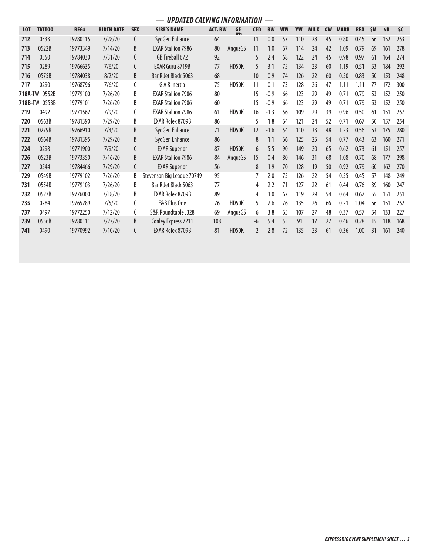|                |               |          |                   |            | <b>UPDATED CALVING INFORMATION</b> |                |                   |            | —         |           |     |             |           |             |            |     |     |     |
|----------------|---------------|----------|-------------------|------------|------------------------------------|----------------|-------------------|------------|-----------|-----------|-----|-------------|-----------|-------------|------------|-----|-----|-----|
| <b>LOT</b>     | TATT00        | REG#     | <b>BIRTH DATE</b> | <b>SEX</b> | <b>SIRE'S NAME</b>                 | <b>ACT. BW</b> | <b>GE</b><br>FPDs | <b>CED</b> | <b>BW</b> | <b>WW</b> | YW  | <b>MILK</b> | <b>CW</b> | <b>MARB</b> | <b>REA</b> | \$M | \$B | \$C |
| 712            | 0533          | 19780115 | 7/28/20           | C          | SydGen Enhance                     | 64             |                   | 11         | 0.0       | 57        | 110 | 28          | 45        | 0.80        | 0.45       | 56  | 152 | 253 |
| 713            | 0522B         | 19773349 | 7/14/20           | B          | <b>EXAR Stallion 7986</b>          | 80             | AngusGS           | 11         | 1.0       | 67        | 114 | 24          | 42        | 1.09        | 0.79       | 69  | 161 | 278 |
| 714            | 0550          | 19784030 | 7/31/20           | C          | GB Fireball 672                    | 92             |                   |            | 2.4       | 68        | 122 | 24          | 45        | 0.98        | 0.97       | 61  | 164 | 274 |
| 715            | 0289          | 19766635 | 7/6/20            | C          | <b>EXAR Guru 8719B</b>             | 77             | HD50K             | 5          | 3.1       | 75        | 134 | 23          | 60        | 1.19        | 0.51       | 53  | 184 | 292 |
| 716            | 0575B         | 19784038 | 8/2/20            | B          | Bar R Jet Black 5063               | 68             |                   | 10         | 0.9       | 74        | 126 | 22          | 60        | 0.50        | 0.83       | 50  | 153 | 248 |
| 717            | 0290          | 19768796 | 7/6/20            | C          | G A R Inertia                      | 75             | HD50K             | 11         | $-0.1$    | 73        | 128 | 26          | 47        | 1.11        | 1.11       | 77  | 172 | 300 |
| <b>718A-TW</b> | 0552B         | 19779100 | 7/26/20           | B          | <b>EXAR Stallion 7986</b>          | 80             |                   | 15         | $-0.9$    | 66        | 123 | 29          | 49        | 0.71        | 0.79       | 53  | 152 | 250 |
|                | 718B-TW 0553B | 19779101 | 7/26/20           | B          | <b>EXAR Stallion 7986</b>          | 60             |                   | 15         | $-0.9$    | 66        | 123 | 29          | 49        | 0.71        | 0.79       | 53  | 152 | 250 |
| 719            | 0492          | 19771562 | 7/9/20            | C          | <b>EXAR Stallion 7986</b>          | 61             | HD50K             | 16         | $-1.3$    | 56        | 109 | 29          | 39        | 0.96        | 0.50       | 61  | 151 | 257 |
| 720            | 0563B         | 19781390 | 7/29/20           | B          | <b>EXAR Rolex 8709B</b>            | 86             |                   | 5          | 1.8       | 64        | 121 | 24          | 52        | 0.71        | 0.67       | 50  | 157 | 254 |
| 721            | 0279B         | 19766910 | 7/4/20            | B          | SydGen Enhance                     | 71             | HD50K             | 12         | $-1.6$    | 54        | 110 | 33          | 48        | 1.23        | 0.56       | 53  | 175 | 280 |
| 722            | 0564B         | 19781395 | 7/29/20           | B          | SydGen Enhance                     | 86             |                   | 8          | 1.1       | 66        | 125 | 25          | 54        | 0.77        | 0.43       | 63  | 160 | 271 |
| 724            | 0298          | 19771900 | 7/9/20            | C          | <b>EXAR Superior</b>               | 87             | HD50K             | -6         | 5.5       | 90        | 149 | 20          | 65        | 0.62        | 0.73       | 61  | 151 | 257 |
| 726            | 0523B         | 19773350 | 7/16/20           | B          | <b>EXAR Stallion 7986</b>          | 84             | AngusGS           | 15         | $-0.4$    | 80        | 146 | 31          | 68        | 1.08        | 0.70       | 68  | 177 | 298 |
| 727            | 0544          | 19784466 | 7/29/20           | C          | <b>EXAR Superior</b>               | 56             |                   | 8          | 1.9       | 70        | 128 | 19          | 50        | 0.92        | 0.79       | 60  | 162 | 270 |
| 729            | 0549B         | 19779102 | 7/26/20           | B          | Stevenson Big League 70749         | 95             |                   |            | 2.0       | 75        | 126 | 22          | 54        | 0.55        | 0.45       | 57  | 148 | 249 |
| 731            | 0554B         | 19779103 | 7/26/20           | B          | Bar R Jet Black 5063               | 77             |                   | 4          | 2.2       | 71        | 127 | 22          | 61        | 0.44        | 0.76       | 39  | 160 | 247 |
| 732            | 0527B         | 19776000 | 7/18/20           | B          | <b>EXAR Rolex 8709B</b>            | 89             |                   | 4          | 1.0       | 67        | 119 | 29          | 54        | 0.64        | 0.67       | 55  | 151 | 251 |
| 735            | 0284          | 19765289 | 7/5/20            | C          | E&B Plus One                       | 76             | HD50K             | 5          | 2.6       | 76        | 135 | 26          | 66        | 0.21        | 1.04       | 56  | 151 | 252 |
| 737            | 0497          | 19772250 | 7/12/20           | C          | S&R Roundtable J328                | 69             | AngusGS           | 6          | 3.8       | 65        | 107 | 27          | 48        | 0.37        | 0.57       | 54  | 133 | 227 |
| 739            | 0556B         | 19780111 | 7/27/20           | B          | Conley Express 7211                | 108            |                   | -6         | 5.4       | 55        | 91  | 17          | 27        | 0.46        | 0.28       | 15  | 118 | 168 |
| 741            | 0490          | 19770992 | 7/10/20           | C          | <b>EXAR Rolex 8709B</b>            | 81             | HD50K             |            | 2.8       | 72        | 135 | 23          | 61        | 0.36        | 1.00       | 31  | 161 | 240 |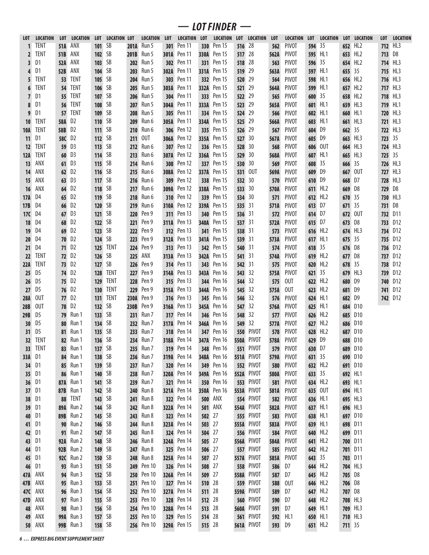| LOT.       | <b>LOCATION</b> | <b>LOT</b> | <b>LOCATION</b> | <b>LOT</b>    | <b>LOCATION LOT</b> |             | <b>LOCATION</b> | <b>LOT</b> | <b>LOCATION</b>    | LOT    | <b>LOCATION</b> | <b>LOT</b>  | <b>LOCATION</b>   | <b>LOT</b> | <b>LOCATION</b> | <b>LOT</b> | <b>LOCATION</b> |         | LOT LOCATION    | <b>LOT</b> | <b>LOCATION</b> |
|------------|-----------------|------------|-----------------|---------------|---------------------|-------------|-----------------|------------|--------------------|--------|-----------------|-------------|-------------------|------------|-----------------|------------|-----------------|---------|-----------------|------------|-----------------|
|            | TENT            | 51A        | ANX             | 101           | SB                  | 201A        | Run 5           | 301        | Pen 11             | 330    | Pen 15          | 516         | 28                | 562        | PIVOT           | 594        | 35              | 652     | HL2             | 712        | HL3             |
| 2          | TENT            | 51B        | ANX             | 102           | SB                  | 201B        | Run 5           | 301A       | Pen 11             | 330A   | Pen 15          | 517         | 28                | 562A       | <b>PIVOT</b>    | 595        | HL1             | 653     | HL <sub>2</sub> | 713        | D8              |
| 3          | D1              | 52A        | ANX             | 103           | SB                  | 202         | Run 5           | 302        | Pen 11             | 331    | Pen 15          | 518         | 28                | 563        | <b>PIVOT</b>    | 596        | -35             | 654     | HL <sub>2</sub> | 714        | HL3             |
| 4          | D1              | 52B        | ANX             | 104           | SB                  | 203         | Run 5           | 302A       | Pen 11             | 331A   | Pen 15          | 519         | 29                | 563A       | <b>PIVOT</b>    | 597        | HL1             | 655     | 35              | 715        | HL3             |
|            | TENT            | 53         | TENT            | 105           | SB                  | 204         | Run 5           | 303        | Pen 11             | 332    | Pen 15          | 520         | 29                | 564        | <b>PIVOT</b>    | 598        | HL1             | 656     | HL2             | 716        | HL3             |
|            | TENT            | 54         | <b>TENT</b>     | 106           | SB                  | 205         | Run 5           | 303A       | Pen 11             | 332A   | Pen 15          | 521         | 29                | 564A       | <b>PIVOT</b>    | 599        | HL1             | 657     | HL <sub>2</sub> | 717        | HL3             |
| 7          | D <sub>1</sub>  | 55.        | TENT            | 107           | SB                  | 206         | Run 5           | 304        | Pen 11             | 333    | Pen 15          | 522         | 29                | 565        | <b>PIVOT</b>    | 600        | -35             | 658     | HL <sub>2</sub> | 718        | HL3             |
| 8          | D1              | 56         | TENT            | 108           | SB                  | 207         | Run 5           | 304A       | Pen 11             | 333A   | Pen 15          | 523         | 29                | 565A       | <b>PIVOT</b>    | 601        | HL1             | 659     | HL3             | 719        | HL <sub>1</sub> |
| 9          | D1              | 57         | TENT            | 109           | SB                  | 208         | Run 5           | 305        | Pen 11             | 334    | Pen 15          | 524         | 29                | 566        | <b>PIVOT</b>    | 602        | HL1             | 660     | HL <sub>1</sub> | 720        | HL3             |
| 10         | TENT            | <b>58A</b> | D2              | 110           | SB                  | 209         | Run 6           | 305A       | Pen 11             | 334A   | Pen 15          | 525         | 29                | 566A       | <b>PIVOT</b>    | 603        | HL <sub>1</sub> | 661     | HL3             | 721        | HL3             |
| 10A        | TENT            | 58B        | D <sub>2</sub>  | 111           | SB                  | 210         | Run 6           | 306        | Pen 12             | 335    | Pen 15          | 526         | 29                | 567        | <b>PIVOT</b>    | 604        | D9              | 662     | 35              | 722        | HL3             |
| 11         | D1              | 58C        | D2              | 112           | SB                  | 211         | 0UT             | 306A       | Pen 12             | 335A   | Pen 15          | 527         | 30                | 567A       | <b>PIVOT</b>    | 605        | D9              | 663     | HL3             | 723        | 35              |
| 12         | <b>TENT</b>     | 59         | D3              | 113           | SB                  | 212         | Run 6           | 307        | Pen 12             | 336    | Pen 15          | 528         | 30                | 568        | <b>PIVOT</b>    | 606        | 0UT             | 664     | HL3             | 724        | HL3             |
| 12A        | TENT            | 60         | D3              | 114           | SB                  | 213         | Run 6           | 307A       | Pen 12             | 336A   | Pen 15          | 529         | 30                | 568A       | <b>PIVOT</b>    | 607        | HL1             | 665     | HL3             | 725        | 35              |
| 13         | ANX             | 61         | D3              | 115           | SB                  | 214         | Run 6           | 308        | Pen 12             | 337    | Pen 15          | 530         | 30                | 569        | <b>PIVOT</b>    | 608        | 35              | 666     | 35              | 726        | HL3             |
| 14         | ANX             | 62         | D <sub>2</sub>  | 116           | SB                  | 215         | Run 6           | 308A       | Pen 12             | 337A   | Pen 15          | 531         | 0UT               | 569A       | <b>PIVOT</b>    | 609        | D9              | 667     | 0UT             | 727        | HL3             |
| 15         | ANX             | 63         | D3              | 117           | SB                  | 216         | Run 6           | 309        | Pen 12             | 338    | Pen 15          | 532         | 30                | 570        | <b>PIVOT</b>    | 610        | D9              | 668     | D7              | 728        | HL3             |
| 16         | ANX             | 64         | D <sub>2</sub>  | 118           | SB                  | 217         | Run 6           | 309A       | Pen 12             | 338A   | Pen 15          | 533         | 30                | 570A       | <b>PIVOT</b>    | 611        | HL2             | 669     | D8              | 729        | D8              |
| 17A        | D4              | 65         | D <sub>2</sub>  | 119           | SB                  | 218         | Run 6           | 310        | Pen 12             | 339    | Pen 15          | 534         | 30                | 571        | <b>PIVOT</b>    | 612        | HL2             | 670     | 35              | 730        | HL3             |
| 17B        | D4              | 66         | D <sub>2</sub>  | <b>120</b>    | SB                  | 219         | Run 6           | 310A       | Pen 12             | 339A   | Pen 15          | 535         | 31                | 571A       | <b>PIVOT</b>    | 613        | D7              | 671     | 35              | 731        | D8              |
| 17C        | D4              | 67         | D3              | 121           | SB                  | 220         | Pen 9           | 311        | Pen 13             | 340    | Pen 15          | 536         | 31                | 572        | <b>PIVOT</b>    | 614        | D7              | 672     | 0UT             | 732        | D11             |
| 18         | D4              | 68         | D2              | 122           | SB                  | 221         | Pen 9           | 311A       | Pen 13             | 340A   | Pen 15          | 537         | 31                | 572A       | <b>PIVOT</b>    | 615        | D7              | 673     | D8              | 733        | D <sub>12</sub> |
| 19         | D <sub>4</sub>  | 69         | D <sub>2</sub>  | 123           | SB                  | 222         | Pen 9           | 312        | Pen 13             | 341    | Pen 15          | 538         | 31                | 573        | <b>PIVOT</b>    | 616        | HL2             | 674     | HL3             | 734        | D <sub>12</sub> |
| 20         | D4              | 70         | D <sub>2</sub>  | 124           | SB                  | 223         | Pen 9           | 312A       | Pen 13             | 341A   | Pen 15          | 539         | 31                | 573A       | <b>PIVOT</b>    | 617        | HL1             | 675     | 35              | 735        | D <sub>12</sub> |
| 21         | D4              | 71         | D <sub>2</sub>  | 125           | <b>TENT</b>         | 224         | Pen 9           | 313        | Pen 13             | 342    | Pen 15          | 540         | 31                | 574        | <b>PIVOT</b>    | 618        | 35              | 676     | D8              | 736        | D <sub>12</sub> |
| 22         | TENT            | 72.        | D <sub>2</sub>  | 126           | SB                  | 225         | ANX             | 313A       | Pen 13             | 342A   | Pen 15          | 541         | 31                | 574A       | <b>PIVOT</b>    | 619        | HL2             | 677     | D8              | 737        | D <sub>12</sub> |
| 22A        | TENT            | 73         | D <sub>2</sub>  | 127           | SB                  | 226         | Pen 9           | 314        | Pen 13             | 343    | Pen 16          | 542         | 31                | 575        | <b>PIVOT</b>    | 620        | HL2             | 678     | 35              | 738        | D12             |
| 25         | D <sub>5</sub>  | 74         | D <sub>2</sub>  | 128           | <b>TENT</b>         | 227         | Pen 9           | 314A       | Pen 13             | 343A   | Pen 16          | 543         | 32                | 575A       | <b>PIVOT</b>    | 621        | 35              | 679     | HL3             | 739        | D <sub>12</sub> |
| 26         | D <sub>5</sub>  | 75         | D <sub>2</sub>  | 129           | <b>TENT</b>         | 228         | Pen 9           | 315        | Pen 13             | 344    | Pen 16          | 544         | 32                | 575        | 0UT             | 622        | HL <sub>2</sub> | 680     | D9              | 740        | D <sub>12</sub> |
| 27         | D <sub>5</sub>  | 76         | D <sub>2</sub>  | <b>130</b>    | <b>TENT</b>         | 229         | Pen 9           | 315A       | Pen 13             | 344A   | Pen 16          | 545         | 32                | 575A       | 0UT             | 623        | HL2             | 681     | D9              | 741        | D <sub>12</sub> |
| <b>28A</b> | <b>OUT</b>      | 77         | D <sub>2</sub>  | 131           | <b>TENT</b>         | <b>230A</b> | Pen 9           | 316        | Pen 13             | 345    | Pen 16          | 546         | 32                | 576        | <b>PIVOT</b>    | 624        | HL1             | 682     | D9              | 742        | D <sub>12</sub> |
| 28B        | <b>OUT</b>      | 78         | D <sub>2</sub>  | <b>132</b>    | SB                  | 230B        | Pen 9           | 316A       | Pen 13             | 345A   | Pen 16          | 547         | 32                | 576A       | <b>PIVOT</b>    | 625        | HL1             | 684     | D10             |            |                 |
| 29B        | D <sub>5</sub>  | 79         | Run 1           | 133           | SB                  | 231         | Run 7           | 317        | Pen 14             | 346    | Pen 16          | 548         | 32                | 577        | <b>PIVOT</b>    | 626        | HL2             | 685     | D <sub>10</sub> |            |                 |
| 30         | D <sub>5</sub>  | 80         | Run 1           | 134           | SB                  | 232         | Run 7           | 317A       | Pen 14             | 346A   | Pen 16          | 549         | 32                | 577A       | <b>PIVOT</b>    | 627        | HL2             | 686     | D <sub>10</sub> |            |                 |
| 31         | D <sub>5</sub>  | 81         | Run 1           | 135           | SB                  | 233         | Run 7           | 318        | Pen 14             | 347    | Pen 16          | 550         | <b>PIVOT</b>      | 578        | <b>PIVOT</b>    | 628        | HL <sub>2</sub> | 687     | D <sub>10</sub> |            |                 |
| 32         | <b>TENT</b>     | 82         | Run 1           | 136           | SB                  | 234         | Run 7           | 318A       | Pen 14             | 347A   | Pen 16          | 550A        | PIVOT             | 578A       | <b>PIVOT</b>    | 629        | D9              | 688     | D <sub>10</sub> |            |                 |
| 33         | <b>TENT</b>     | 83         | Run 1           | 137 SB        |                     |             | 235 Run 7       |            | 319 Pen 14         | 348    | Pen 16          |             | <b>551 PIVOT</b>  | 579        | <b>PIVOT</b>    | 630 D7     |                 |         | 689 D10         |            |                 |
| 33A        | D <sub>1</sub>  | 84         | Run 1           | 138 SB        |                     | 236         | Run 7           |            | <b>319A</b> Pen 14 | 348A   | Pen 16          |             | <b>551A PIVOT</b> | 579A       | <b>PIVOT</b>    | 631 35     |                 |         | 690 D10         |            |                 |
| 34         | D <sub>1</sub>  | 85         | Run 1           | 139 SB        |                     | 237         | Run 7           |            | <b>320</b> Pen 14  | 349    | Pen 16          |             | <b>552 PIVOT</b>  | 580        | <b>PIVOT</b>    |            | 632 HL2         |         | 691 D10         |            |                 |
| 35         | D <sub>1</sub>  | 86         | Run 1           | 140 SB        |                     | 238         | Run 7           |            | <b>320A</b> Pen 14 | 349A   | Pen 16          |             | 552A PIVOT        | 580A       | <b>PIVOT</b>    | 633 35     |                 | 692 HL1 |                 |            |                 |
| 36         | D <sub>1</sub>  | 87A        | Run 1           | 141 SB        |                     | 239         | Run 7           |            | <b>321</b> Pen 14  | 350    | Pen 16          |             | <b>553 PIVOT</b>  | 581        | <b>PIVOT</b>    |            | 634 HL2         | 693 HL1 |                 |            |                 |
| 37         | D <sub>1</sub>  | 87B        | Run 1           | 142 SB        |                     | 240         | Run 8           | 321A       | Pen 14             | 350A   | Pen 16          |             | 553A PIVOT        | 581A       | <b>PIVOT</b>    |            | 635 OUT         | 694 HL1 |                 |            |                 |
| 38         | D <sub>1</sub>  | 88         | <b>TENT</b>     | 143 SB        |                     | 241         | Run 8           | 322        | Pen 14             | 500    | ANX             |             | <b>554 PIVOT</b>  | 582        | <b>PIVOT</b>    |            | 636 HL1         | 695 HL3 |                 |            |                 |
| 39         | D <sub>1</sub>  | 89A        | Run 2           | <b>144</b> SB |                     | 242         | Run 8           | 322A       | Pen 14             | 501    | ANX             |             | 554A PIVOT        | 582A       | <b>PIVOT</b>    |            | 637 HL1         |         | 696 HL3         |            |                 |
| 40         | D <sub>1</sub>  | 89B        | Run 2           | <b>145</b> SB |                     | 243         | Run 8           | 323        | Pen 14             | 502    | 27              | 555         | PIVOT             | 583        | <b>PIVOT</b>    |            | 638 HL1         |         | 697 D10         |            |                 |
| 41         | D <sub>1</sub>  | 90         | Run 2           | <b>146</b> SB |                     | 244         | Run 8           | 323A       | Pen 14             | 503    | 27              |             | 555A PIVOT        | 583A       | <b>PIVOT</b>    |            | 639 HL1         | 698     | D11             |            |                 |
| 42         | D <sub>1</sub>  | 91         | Run 2           | 147 SB        |                     | 245         | Run 8           | 324        | Pen 14             | 504    | 27              |             | <b>556 PIVOT</b>  | 584        | <b>PIVOT</b>    |            | 640 HL2         |         | 699 D11         |            |                 |
| 43         | D <sub>1</sub>  | 92A        | Run 2           | <b>148</b> SB |                     | 246         | Run 8           | 324A       | Pen 14             | 505    | 27              |             | 556A PIVOT        | 584A       | <b>PIVOT</b>    |            | 641 HL2         |         | 700 D11         |            |                 |
| 44         | D <sub>1</sub>  | 92B        | Run 2           | 149 SB        |                     | 247         | Run 8           | 325        | Pen 14             | 506    | 27              | 557         | PIVOT             | 585        | <b>PIVOT</b>    | 642        | HL2             |         | 701 D11         |            |                 |
| 45         | D <sub>1</sub>  |            | 92C Run 2       | 150 SB        |                     | 248         | Run 8           |            | <b>325A</b> Pen 14 | 507    | 27              |             | 557A PIVOT        | 585A       | <b>PIVOT</b>    | 643        | -35             |         | 703 D11         |            |                 |
| 46         | D <sub>1</sub>  | 93         | Run 3           | 151 SB        |                     | 249         | Pen 10          |            | <b>326</b> Pen 14  | 508    | 27              | 558         | PIVOT             | 586        | D7              | 644        | HL2             | 704 HL3 |                 |            |                 |
| 47 A       | ANX             |            | <b>94</b> Run 3 | 152 SB        |                     | 250         | Pen 10          | 326A       | Pen 14             | 509    | 27              | 558A        | <b>PIVOT</b>      | 587        | D7              | 645        | HL2             | 705 D8  |                 |            |                 |
| 47B        | ANX             |            | <b>95</b> Run 3 | 153 SB        |                     | 251         | Pen 10          | 327        | Pen 14             | 510    | 28              | 559         | <b>PIVOT</b>      | 588        | 0UT             |            | 646 HL2         | 706 D8  |                 |            |                 |
| 47C        | ANX             |            | <b>96</b> Run 3 | <b>154 SB</b> |                     | 252         | Pen 10          | 327A       | Pen 14             | 511    | 28              | 559A        | PIVOT             | 589        | D7              |            | 647 HL2         | 707 D8  |                 |            |                 |
| 47D        | ANX             |            | <b>97</b> Run 3 | <b>155</b> SB |                     | 253         | Pen 10          | 328        | Pen 14             | 512    | 28              | 560         | PIVOT             | 590        | D7              | 648        | HL2             | 708 HL3 |                 |            |                 |
| 48         | ANX             | 98         | Run 3           | <b>156</b> SB |                     | 254         | Pen 10          | 328A       | Pen 14             | 513    | 28              | <b>560A</b> | PIVOT             | 591        | D7              | 649        | HL1             | 709 HL3 |                 |            |                 |
| 49         | ANX             | 99A        | Run 3           | 157 SB        |                     | 255         | Pen 10          | 329        | Pen 15             | 514    | 28              | 561         | PIVOT             | 592        | HL1             |            | 650 HL1         | 710 HL3 |                 |            |                 |
| 50         | ANX             | 99B        | Run 3           | 158 SB        |                     | 256         | Pen 10          |            | <b>329A</b> Pen 15 | 515 28 |                 |             | 561A PIVOT        | 593        | D9              |            | 651 HL2         | 711 35  |                 |            |                 |

*— LOT FINDER —*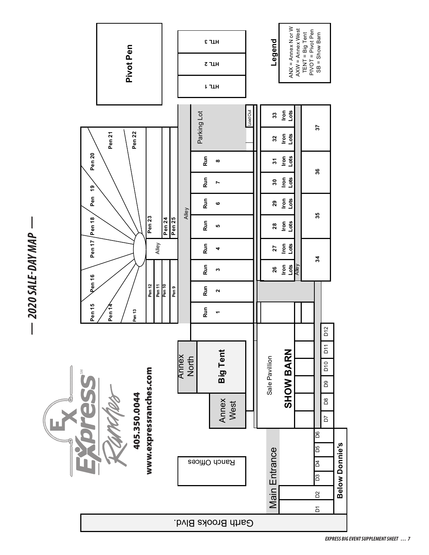